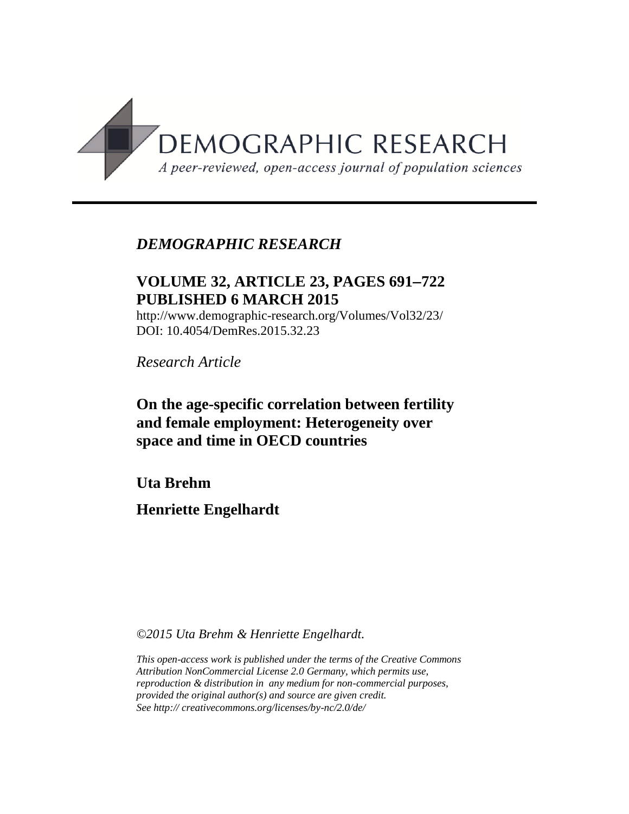

# *DEMOGRAPHIC RESEARCH*

# **VOLUME 32, ARTICLE 23, PAGES 691722 PUBLISHED 6 MARCH 2015**

http://www.demographic-research.org/Volumes/Vol32/23/ DOI: 10.4054/DemRes.2015.32.23

*Research Article*

**On the age-specific correlation between fertility and female employment: Heterogeneity over space and time in OECD countries**

**Uta Brehm**

**Henriette Engelhardt**

*©2015 Uta Brehm & Henriette Engelhardt.*

*This open-access work is published under the terms of the Creative Commons Attribution NonCommercial License 2.0 Germany, which permits use, reproduction & distribution in any medium for non-commercial purposes, provided the original author(s) and source are given credit. See http:// creativecommons.org/licenses/by-nc/2.0/de/*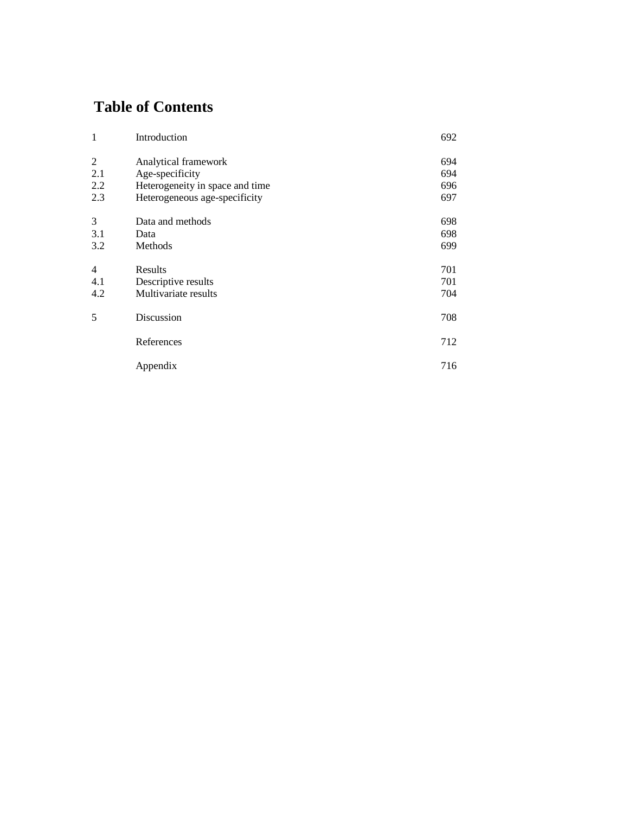# **Table of Contents**

| $\mathbf{1}$   | Introduction                    | 692 |
|----------------|---------------------------------|-----|
| 2              | Analytical framework            | 694 |
| 2.1            | Age-specificity                 | 694 |
| 2.2            | Heterogeneity in space and time | 696 |
| 2.3            | Heterogeneous age-specificity   | 697 |
| 3              | Data and methods                | 698 |
| 3.1            | Data                            | 698 |
| 3.2            | Methods                         | 699 |
| $\overline{4}$ | Results                         | 701 |
| 4.1            | Descriptive results             | 701 |
| 4.2            | Multivariate results            | 704 |
| 5              | Discussion                      | 708 |
|                | References                      | 712 |
|                | Appendix                        | 716 |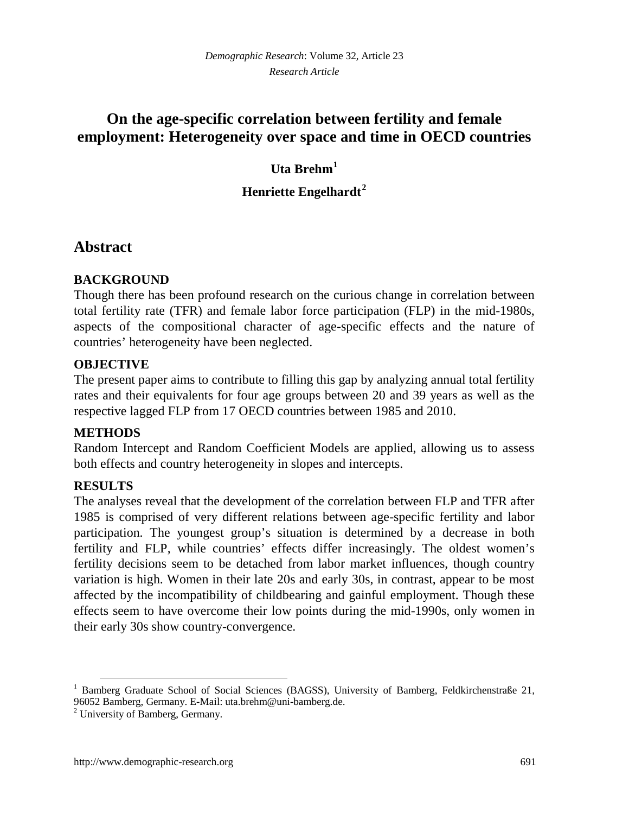# **On the age-specific correlation between fertility and female employment: Heterogeneity over space and time in OECD countries**

## **Uta Brehm[1](#page-2-0)**

## **Henriette Engelhardt[2](#page-2-1)**

# **Abstract**

## **BACKGROUND**

Though there has been profound research on the curious change in correlation between total fertility rate (TFR) and female labor force participation (FLP) in the mid-1980s, aspects of the compositional character of age-specific effects and the nature of countries' heterogeneity have been neglected.

### **OBJECTIVE**

The present paper aims to contribute to filling this gap by analyzing annual total fertility rates and their equivalents for four age groups between 20 and 39 years as well as the respective lagged FLP from 17 OECD countries between 1985 and 2010.

## **METHODS**

Random Intercept and Random Coefficient Models are applied, allowing us to assess both effects and country heterogeneity in slopes and intercepts.

## **RESULTS**

The analyses reveal that the development of the correlation between FLP and TFR after 1985 is comprised of very different relations between age-specific fertility and labor participation. The youngest group's situation is determined by a decrease in both fertility and FLP, while countries' effects differ increasingly. The oldest women's fertility decisions seem to be detached from labor market influences, though country variation is high. Women in their late 20s and early 30s, in contrast, appear to be most affected by the incompatibility of childbearing and gainful employment. Though these effects seem to have overcome their low points during the mid-1990s, only women in their early 30s show country-convergence.

<span id="page-2-0"></span><sup>&</sup>lt;sup>1</sup> Bamberg Graduate School of Social Sciences (BAGSS), University of Bamberg, Feldkirchenstraße 21, 96052 Bamberg, Germany. E-Mail: uta.brehm@uni-bamberg.de.

<span id="page-2-1"></span><sup>2</sup> University of Bamberg, Germany.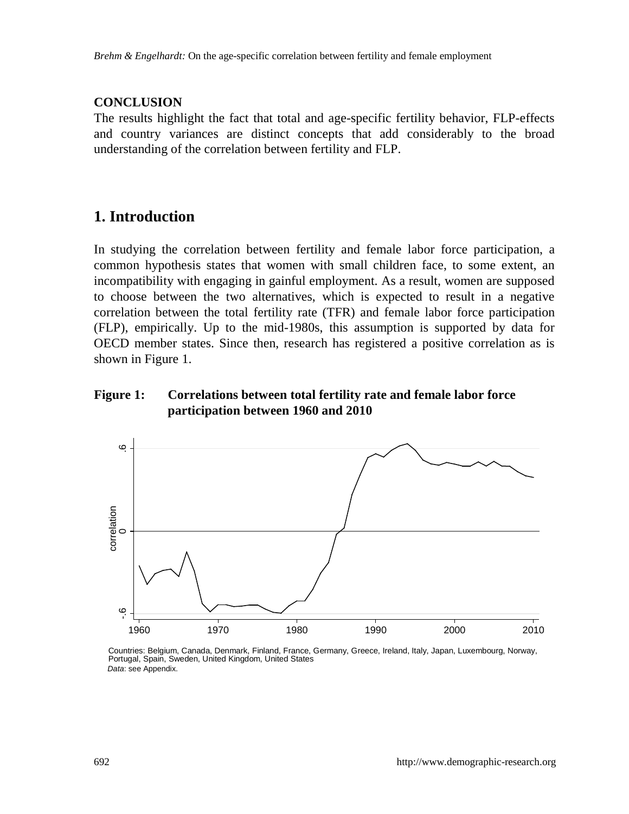#### **CONCLUSION**

The results highlight the fact that total and age-specific fertility behavior, FLP-effects and country variances are distinct concepts that add considerably to the broad understanding of the correlation between fertility and FLP.

## **1. Introduction**

In studying the correlation between fertility and female labor force participation, a common hypothesis states that women with small children face, to some extent, an incompatibility with engaging in gainful employment. As a result, women are supposed to choose between the two alternatives, which is expected to result in a negative correlation between the total fertility rate (TFR) and female labor force participation (FLP), empirically. Up to the mid-1980s, this assumption is supported by data for OECD member states. Since then, research has registered a positive correlation as is shown in [Figure 1.](#page-3-0)

### <span id="page-3-0"></span>**Figure 1: Correlations between total fertility rate and female labor force participation between 1960 and 2010**



Countries: Belgium, Canada, Denmark, Finland, France, Germany, Greece, Ireland, Italy, Japan, Luxembourg, Norway, Portugal, Spain, Sweden, United Kingdom, United States Data: see Appendix.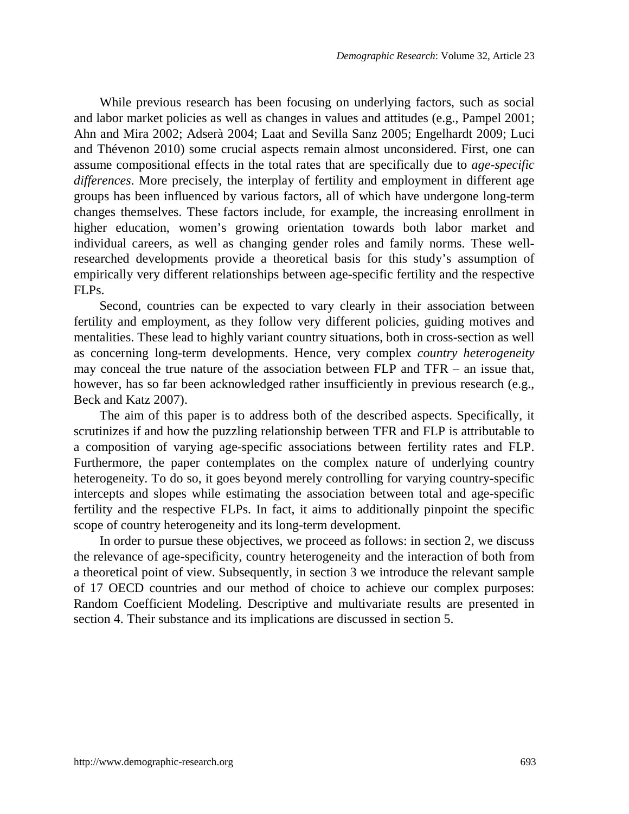While previous research has been focusing on underlying factors, such as social and labor market policies as well as changes in values and attitudes (e.g., Pampel 2001; Ahn and Mira 2002; Adserà 2004; Laat and Sevilla Sanz 2005; Engelhardt 2009; Luci and Thévenon 2010) some crucial aspects remain almost unconsidered. First, one can assume compositional effects in the total rates that are specifically due to *age-specific differences*. More precisely, the interplay of fertility and employment in different age groups has been influenced by various factors, all of which have undergone long-term changes themselves. These factors include, for example, the increasing enrollment in higher education, women's growing orientation towards both labor market and individual careers, as well as changing gender roles and family norms. These wellresearched developments provide a theoretical basis for this study's assumption of empirically very different relationships between age-specific fertility and the respective FLPs.

Second, countries can be expected to vary clearly in their association between fertility and employment, as they follow very different policies, guiding motives and mentalities. These lead to highly variant country situations, both in cross-section as well as concerning long-term developments. Hence, very complex *country heterogeneity* may conceal the true nature of the association between FLP and TFR – an issue that, however, has so far been acknowledged rather insufficiently in previous research (e.g., Beck and Katz 2007).

The aim of this paper is to address both of the described aspects. Specifically, it scrutinizes if and how the puzzling relationship between TFR and FLP is attributable to a composition of varying age-specific associations between fertility rates and FLP. Furthermore, the paper contemplates on the complex nature of underlying country heterogeneity. To do so, it goes beyond merely controlling for varying country-specific intercepts and slopes while estimating the association between total and age-specific fertility and the respective FLPs. In fact, it aims to additionally pinpoint the specific scope of country heterogeneity and its long-term development.

In order to pursue these objectives, we proceed as follows: in section 2, we discuss the relevance of age-specificity, country heterogeneity and the interaction of both from a theoretical point of view. Subsequently, in section 3 we introduce the relevant sample of 17 OECD countries and our method of choice to achieve our complex purposes: Random Coefficient Modeling. Descriptive and multivariate results are presented in section 4. Their substance and its implications are discussed in section 5.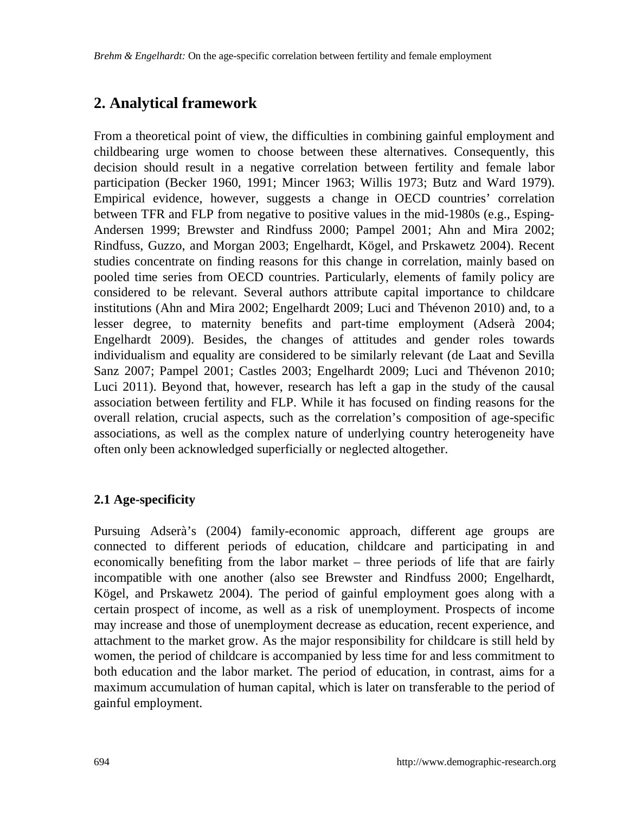# **2. Analytical framework**

From a theoretical point of view, the difficulties in combining gainful employment and childbearing urge women to choose between these alternatives. Consequently, this decision should result in a negative correlation between fertility and female labor participation (Becker 1960, 1991; Mincer 1963; Willis 1973; Butz and Ward 1979). Empirical evidence, however, suggests a change in OECD countries' correlation between TFR and FLP from negative to positive values in the mid-1980s (e.g., Esping-Andersen 1999; Brewster and Rindfuss 2000; Pampel 2001; Ahn and Mira 2002; Rindfuss, Guzzo, and Morgan 2003; Engelhardt, Kögel, and Prskawetz 2004). Recent studies concentrate on finding reasons for this change in correlation, mainly based on pooled time series from OECD countries. Particularly, elements of family policy are considered to be relevant. Several authors attribute capital importance to childcare institutions (Ahn and Mira 2002; Engelhardt 2009; Luci and Thévenon 2010) and, to a lesser degree, to maternity benefits and part-time employment (Adserà 2004; Engelhardt 2009). Besides, the changes of attitudes and gender roles towards individualism and equality are considered to be similarly relevant (de Laat and Sevilla Sanz 2007; Pampel 2001; Castles 2003; Engelhardt 2009; Luci and Thévenon 2010; Luci 2011). Beyond that, however, research has left a gap in the study of the causal association between fertility and FLP. While it has focused on finding reasons for the overall relation, crucial aspects, such as the correlation's composition of age-specific associations, as well as the complex nature of underlying country heterogeneity have often only been acknowledged superficially or neglected altogether.

## **2.1 Age-specificity**

Pursuing Adserà's (2004) family-economic approach, different age groups are connected to different periods of education, childcare and participating in and economically benefiting from the labor market – three periods of life that are fairly incompatible with one another (also see Brewster and Rindfuss 2000; Engelhardt, Kögel, and Prskawetz 2004). The period of gainful employment goes along with a certain prospect of income, as well as a risk of unemployment. Prospects of income may increase and those of unemployment decrease as education, recent experience, and attachment to the market grow. As the major responsibility for childcare is still held by women, the period of childcare is accompanied by less time for and less commitment to both education and the labor market. The period of education, in contrast, aims for a maximum accumulation of human capital, which is later on transferable to the period of gainful employment.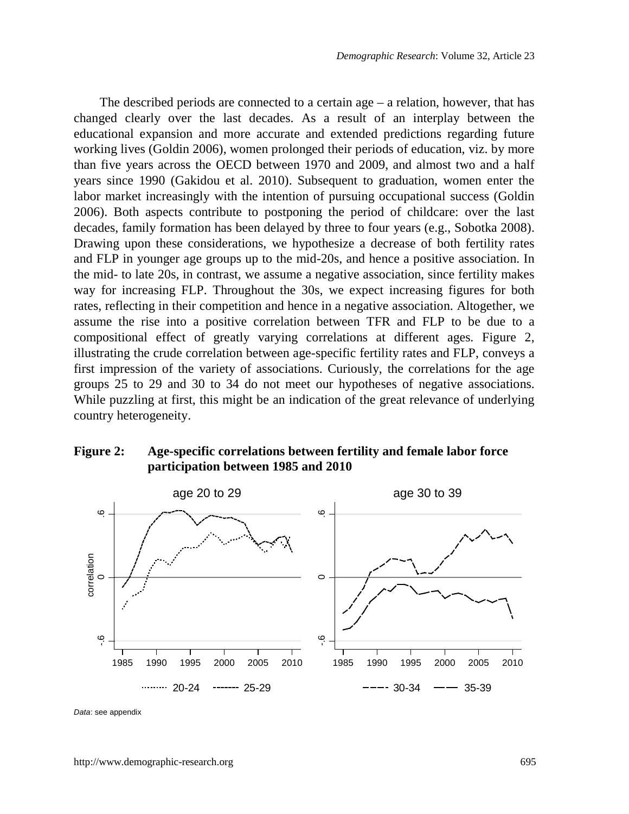The described periods are connected to a certain age – a relation, however, that has changed clearly over the last decades. As a result of an interplay between the educational expansion and more accurate and extended predictions regarding future working lives (Goldin 2006), women prolonged their periods of education, viz. by more than five years across the OECD between 1970 and 2009, and almost two and a half years since 1990 (Gakidou et al. 2010). Subsequent to graduation, women enter the labor market increasingly with the intention of pursuing occupational success (Goldin 2006). Both aspects contribute to postponing the period of childcare: over the last decades, family formation has been delayed by three to four years (e.g., Sobotka 2008). Drawing upon these considerations, we hypothesize a decrease of both fertility rates and FLP in younger age groups up to the mid-20s, and hence a positive association. In the mid- to late 20s, in contrast, we assume a negative association, since fertility makes way for increasing FLP. Throughout the 30s, we expect increasing figures for both rates, reflecting in their competition and hence in a negative association. Altogether, we assume the rise into a positive correlation between TFR and FLP to be due to a compositional effect of greatly varying correlations at different ages. [Figure 2,](#page-6-0)  illustrating the crude correlation between age-specific fertility rates and FLP, conveys a first impression of the variety of associations. Curiously, the correlations for the age groups 25 to 29 and 30 to 34 do not meet our hypotheses of negative associations. While puzzling at first, this might be an indication of the great relevance of underlying country heterogeneity.

### <span id="page-6-0"></span>**Figure 2: Age-specific correlations between fertility and female labor force participation between 1985 and 2010**



Data: see appendix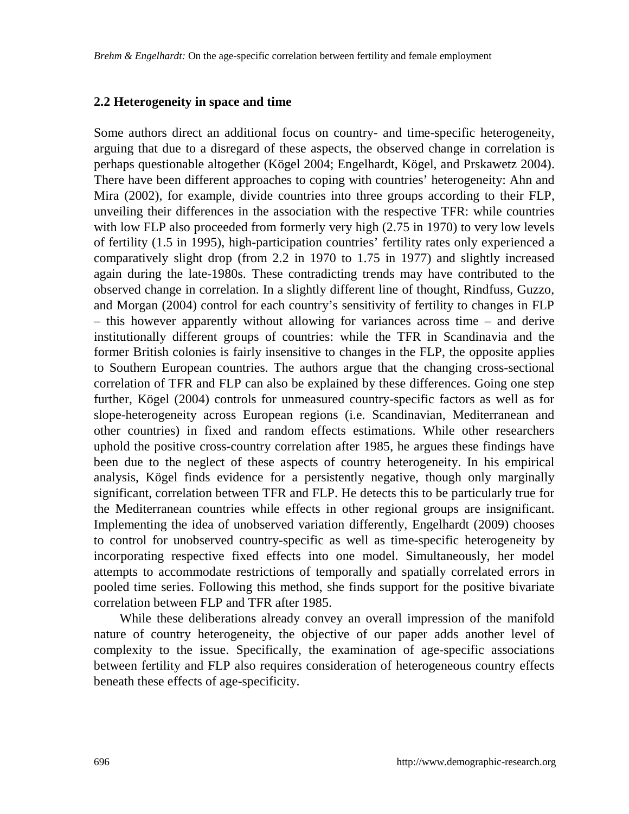#### **2.2 Heterogeneity in space and time**

Some authors direct an additional focus on country- and time-specific heterogeneity, arguing that due to a disregard of these aspects, the observed change in correlation is perhaps questionable altogether (Kögel 2004; Engelhardt, Kögel, and Prskawetz 2004). There have been different approaches to coping with countries' heterogeneity: Ahn and Mira (2002), for example, divide countries into three groups according to their FLP, unveiling their differences in the association with the respective TFR: while countries with low FLP also proceeded from formerly very high (2.75 in 1970) to very low levels of fertility (1.5 in 1995), high-participation countries' fertility rates only experienced a comparatively slight drop (from 2.2 in 1970 to 1.75 in 1977) and slightly increased again during the late-1980s. These contradicting trends may have contributed to the observed change in correlation. In a slightly different line of thought, Rindfuss, Guzzo, and Morgan (2004) control for each country's sensitivity of fertility to changes in FLP – this however apparently without allowing for variances across time – and derive institutionally different groups of countries: while the TFR in Scandinavia and the former British colonies is fairly insensitive to changes in the FLP, the opposite applies to Southern European countries. The authors argue that the changing cross-sectional correlation of TFR and FLP can also be explained by these differences. Going one step further, Kögel (2004) controls for unmeasured country-specific factors as well as for slope-heterogeneity across European regions (i.e. Scandinavian, Mediterranean and other countries) in fixed and random effects estimations. While other researchers uphold the positive cross-country correlation after 1985, he argues these findings have been due to the neglect of these aspects of country heterogeneity. In his empirical analysis, Kögel finds evidence for a persistently negative, though only marginally significant, correlation between TFR and FLP. He detects this to be particularly true for the Mediterranean countries while effects in other regional groups are insignificant. Implementing the idea of unobserved variation differently, Engelhardt (2009) chooses to control for unobserved country-specific as well as time-specific heterogeneity by incorporating respective fixed effects into one model. Simultaneously, her model attempts to accommodate restrictions of temporally and spatially correlated errors in pooled time series. Following this method, she finds support for the positive bivariate correlation between FLP and TFR after 1985.

While these deliberations already convey an overall impression of the manifold nature of country heterogeneity, the objective of our paper adds another level of complexity to the issue. Specifically, the examination of age-specific associations between fertility and FLP also requires consideration of heterogeneous country effects beneath these effects of age-specificity.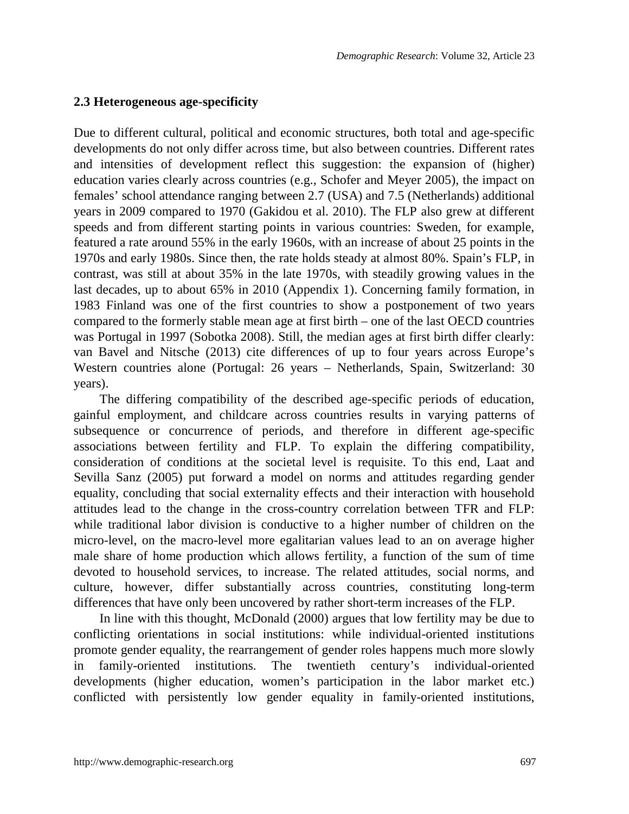#### <span id="page-8-0"></span>**2.3 Heterogeneous age-specificity**

Due to different cultural, political and economic structures, both total and age-specific developments do not only differ across time, but also between countries. Different rates and intensities of development reflect this suggestion: the expansion of (higher) education varies clearly across countries (e.g., Schofer and Meyer 2005), the impact on females' school attendance ranging between 2.7 (USA) and 7.5 (Netherlands) additional years in 2009 compared to 1970 (Gakidou et al. 2010). The FLP also grew at different speeds and from different starting points in various countries: Sweden, for example, featured a rate around 55% in the early 1960s, with an increase of about 25 points in the 1970s and early 1980s. Since then, the rate holds steady at almost 80%. Spain's FLP, in contrast, was still at about 35% in the late 1970s, with steadily growing values in the last decades, up to about 65% in 2010 (Appendix 1). Concerning family formation, in 1983 Finland was one of the first countries to show a postponement of two years compared to the formerly stable mean age at first birth – one of the last OECD countries was Portugal in 1997 (Sobotka 2008). Still, the median ages at first birth differ clearly: van Bavel and Nitsche (2013) cite differences of up to four years across Europe's Western countries alone (Portugal: 26 years – Netherlands, Spain, Switzerland: 30 years).

The differing compatibility of the described age-specific periods of education, gainful employment, and childcare across countries results in varying patterns of subsequence or concurrence of periods, and therefore in different age-specific associations between fertility and FLP. To explain the differing compatibility, consideration of conditions at the societal level is requisite. To this end, Laat and Sevilla Sanz (2005) put forward a model on norms and attitudes regarding gender equality, concluding that social externality effects and their interaction with household attitudes lead to the change in the cross-country correlation between TFR and FLP: while traditional labor division is conductive to a higher number of children on the micro-level, on the macro-level more egalitarian values lead to an on average higher male share of home production which allows fertility, a function of the sum of time devoted to household services, to increase. The related attitudes, social norms, and culture, however, differ substantially across countries, constituting long-term differences that have only been uncovered by rather short-term increases of the FLP.

In line with this thought, McDonald (2000) argues that low fertility may be due to conflicting orientations in social institutions: while individual-oriented institutions promote gender equality, the rearrangement of gender roles happens much more slowly in family-oriented institutions. The twentieth century's individual-oriented developments (higher education, women's participation in the labor market etc.) conflicted with persistently low gender equality in family-oriented institutions,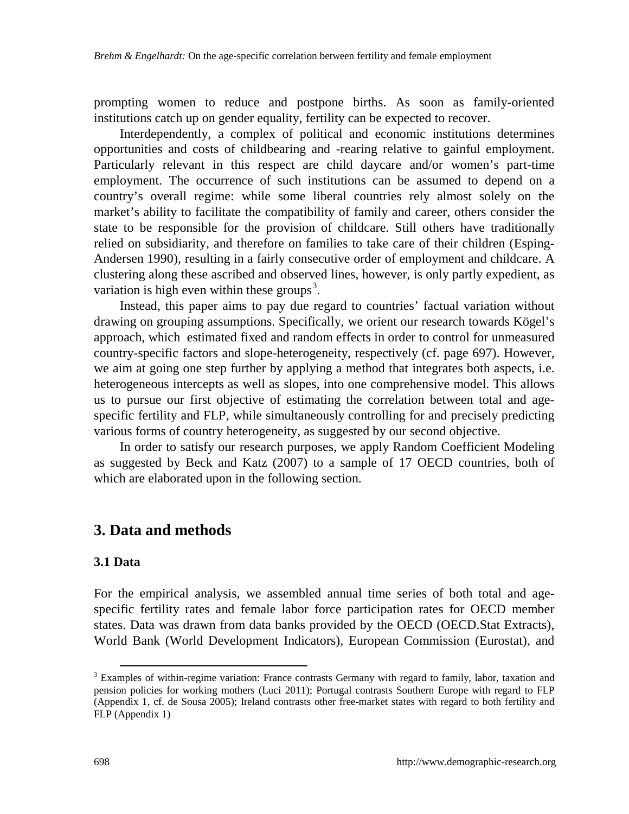prompting women to reduce and postpone births. As soon as family-oriented institutions catch up on gender equality, fertility can be expected to recover.

Interdependently, a complex of political and economic institutions determines opportunities and costs of childbearing and -rearing relative to gainful employment. Particularly relevant in this respect are child daycare and/or women's part-time employment. The occurrence of such institutions can be assumed to depend on a country's overall regime: while some liberal countries rely almost solely on the market's ability to facilitate the compatibility of family and career, others consider the state to be responsible for the provision of childcare. Still others have traditionally relied on subsidiarity, and therefore on families to take care of their children (Esping-Andersen 1990), resulting in a fairly consecutive order of employment and childcare. A clustering along these ascribed and observed lines, however, is only partly expedient, as variation is high even within these groups<sup>[3](#page-9-0)</sup>.

Instead, this paper aims to pay due regard to countries' factual variation without drawing on grouping assumptions. Specifically, we orient our research towards Kögel's approach, which estimated fixed and random effects in order to control for unmeasured country-specific factors and slope-heterogeneity, respectively (cf. page [697\)](#page-8-0). However, we aim at going one step further by applying a method that integrates both aspects, i.e. heterogeneous intercepts as well as slopes, into one comprehensive model. This allows us to pursue our first objective of estimating the correlation between total and agespecific fertility and FLP, while simultaneously controlling for and precisely predicting various forms of country heterogeneity, as suggested by our second objective.

In order to satisfy our research purposes, we apply Random Coefficient Modeling as suggested by Beck and Katz (2007) to a sample of 17 OECD countries, both of which are elaborated upon in the following section.

## **3. Data and methods**

#### **3.1 Data**

For the empirical analysis, we assembled annual time series of both total and agespecific fertility rates and female labor force participation rates for OECD member states. Data was drawn from data banks provided by the OECD (OECD.Stat Extracts), World Bank (World Development Indicators), European Commission (Eurostat), and

<span id="page-9-0"></span><sup>&</sup>lt;sup>3</sup> Examples of within-regime variation: France contrasts Germany with regard to family, labor, taxation and pension policies for working mothers (Luci 2011); Portugal contrasts Southern Europe with regard to FLP (Appendix 1, cf. de Sousa 2005); Ireland contrasts other free-market states with regard to both fertility and FLP (Appendix 1)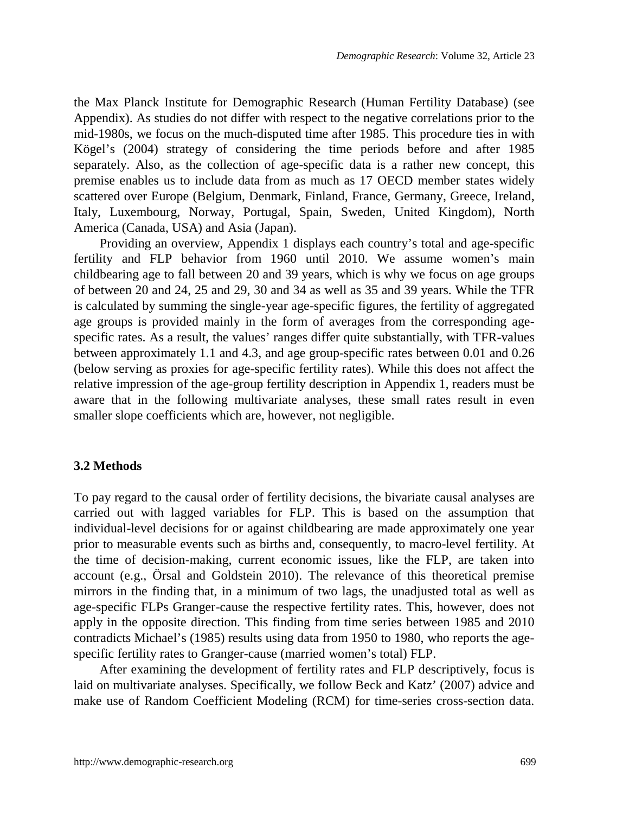the Max Planck Institute for Demographic Research (Human Fertility Database) (see Appendix). As studies do not differ with respect to the negative correlations prior to the mid-1980s, we focus on the much-disputed time after 1985. This procedure ties in with Kögel's (2004) strategy of considering the time periods before and after 1985 separately. Also, as the collection of age-specific data is a rather new concept, this premise enables us to include data from as much as 17 OECD member states widely scattered over Europe (Belgium, Denmark, Finland, France, Germany, Greece, Ireland, Italy, Luxembourg, Norway, Portugal, Spain, Sweden, United Kingdom), North America (Canada, USA) and Asia (Japan).

Providing an overview, Appendix 1 displays each country's total and age-specific fertility and FLP behavior from 1960 until 2010. We assume women's main childbearing age to fall between 20 and 39 years, which is why we focus on age groups of between 20 and 24, 25 and 29, 30 and 34 as well as 35 and 39 years. While the TFR is calculated by summing the single-year age-specific figures, the fertility of aggregated age groups is provided mainly in the form of averages from the corresponding agespecific rates. As a result, the values' ranges differ quite substantially, with TFR-values between approximately 1.1 and 4.3, and age group-specific rates between 0.01 and 0.26 (below serving as proxies for age-specific fertility rates). While this does not affect the relative impression of the age-group fertility description in Appendix 1, readers must be aware that in the following multivariate analyses, these small rates result in even smaller slope coefficients which are, however, not negligible.

#### **3.2 Methods**

To pay regard to the causal order of fertility decisions, the bivariate causal analyses are carried out with lagged variables for FLP. This is based on the assumption that individual-level decisions for or against childbearing are made approximately one year prior to measurable events such as births and, consequently, to macro-level fertility. At the time of decision-making, current economic issues, like the FLP, are taken into account (e.g., Örsal and Goldstein 2010). The relevance of this theoretical premise mirrors in the finding that, in a minimum of two lags, the unadjusted total as well as age-specific FLPs Granger-cause the respective fertility rates. This, however, does not apply in the opposite direction. This finding from time series between 1985 and 2010 contradicts Michael's (1985) results using data from 1950 to 1980, who reports the agespecific fertility rates to Granger-cause (married women's total) FLP.

After examining the development of fertility rates and FLP descriptively, focus is laid on multivariate analyses. Specifically, we follow Beck and Katz' (2007) advice and make use of Random Coefficient Modeling (RCM) for time-series cross-section data.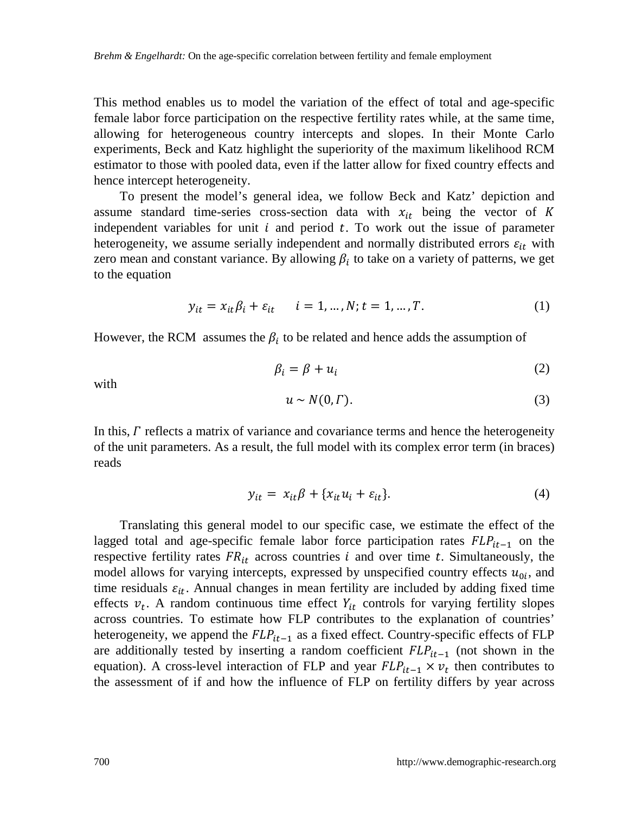This method enables us to model the variation of the effect of total and age-specific female labor force participation on the respective fertility rates while, at the same time, allowing for heterogeneous country intercepts and slopes. In their Monte Carlo experiments, Beck and Katz highlight the superiority of the maximum likelihood RCM estimator to those with pooled data, even if the latter allow for fixed country effects and hence intercept heterogeneity.

To present the model's general idea, we follow Beck and Katz' depiction and assume standard time-series cross-section data with  $x_{it}$  being the vector of K independent variables for unit  $i$  and period  $t$ . To work out the issue of parameter heterogeneity, we assume serially independent and normally distributed errors  $\varepsilon_{it}$  with zero mean and constant variance. By allowing  $\beta_i$  to take on a variety of patterns, we get to the equation

$$
y_{it} = x_{it}\beta_i + \varepsilon_{it} \qquad i = 1, ..., N; t = 1, ..., T.
$$
 (1)

However, the RCM assumes the  $\beta_i$  to be related and hence adds the assumption of

$$
\beta_i = \beta + u_i \tag{2}
$$

with

$$
u \sim N(0, \Gamma). \tag{3}
$$

In this,  $\Gamma$  reflects a matrix of variance and covariance terms and hence the heterogeneity of the unit parameters. As a result, the full model with its complex error term (in braces) reads

$$
y_{it} = x_{it}\beta + \{x_{it}u_i + \varepsilon_{it}\}.
$$
 (4)

Translating this general model to our specific case, we estimate the effect of the lagged total and age-specific female labor force participation rates  $FLP_{it-1}$  on the respective fertility rates  $FR_{it}$  across countries *i* and over time *t*. Simultaneously, the model allows for varying intercepts, expressed by unspecified country effects  $u_{0i}$ , and time residuals  $\varepsilon_{it}$ . Annual changes in mean fertility are included by adding fixed time effects  $v_t$ . A random continuous time effect  $Y_{it}$  controls for varying fertility slopes across countries. To estimate how FLP contributes to the explanation of countries' heterogeneity, we append the  $FLP_{it-1}$  as a fixed effect. Country-specific effects of FLP are additionally tested by inserting a random coefficient  $FLP_{it-1}$  (not shown in the equation). A cross-level interaction of FLP and year  $FLP_{it-1} \times v_t$  then contributes to the assessment of if and how the influence of FLP on fertility differs by year across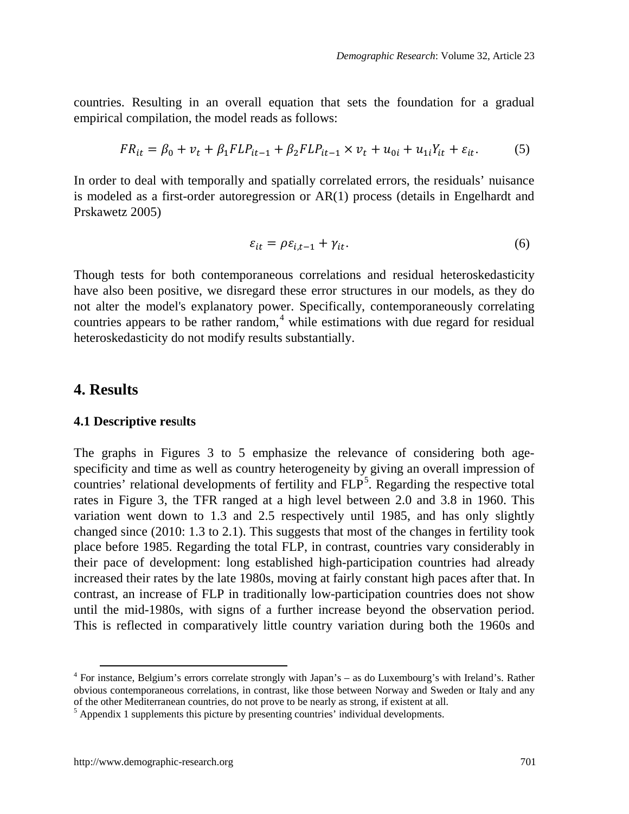countries. Resulting in an overall equation that sets the foundation for a gradual empirical compilation, the model reads as follows:

$$
FR_{it} = \beta_0 + v_t + \beta_1 FLP_{it-1} + \beta_2 FLP_{it-1} \times v_t + u_{0i} + u_{1i}Y_{it} + \varepsilon_{it}.
$$
 (5)

In order to deal with temporally and spatially correlated errors, the residuals' nuisance is modeled as a first-order autoregression or AR(1) process (details in Engelhardt and Prskawetz 2005)

$$
\varepsilon_{it} = \rho \varepsilon_{i,t-1} + \gamma_{it}.
$$
\n<sup>(6)</sup>

Though tests for both contemporaneous correlations and residual heteroskedasticity have also been positive, we disregard these error structures in our models, as they do not alter the model's explanatory power. Specifically, contemporaneously correlating countries appears to be rather random, [4](#page-12-0) while estimations with due regard for residual heteroskedasticity do not modify results substantially.

### **4. Results**

#### **4.1 Descriptive res**u**lts**

The graphs in Figures 3 to 5 emphasize the relevance of considering both agespecificity and time as well as country heterogeneity by giving an overall impression of countries' relational developments of fertility and FLP<sup>[5](#page-12-1)</sup>. Regarding the respective total rates in [Figure 3,](#page-13-0) the TFR ranged at a high level between 2.0 and 3.8 in 1960. This variation went down to 1.3 and 2.5 respectively until 1985, and has only slightly changed since (2010: 1.3 to 2.1). This suggests that most of the changes in fertility took place before 1985. Regarding the total FLP, in contrast, countries vary considerably in their pace of development: long established high-participation countries had already increased their rates by the late 1980s, moving at fairly constant high paces after that. In contrast, an increase of FLP in traditionally low-participation countries does not show until the mid-1980s, with signs of a further increase beyond the observation period. This is reflected in comparatively little country variation during both the 1960s and

<span id="page-12-0"></span> <sup>4</sup> For instance, Belgium's errors correlate strongly with Japan's – as do Luxembourg's with Ireland's. Rather obvious contemporaneous correlations, in contrast, like those between Norway and Sweden or Italy and any of the other Mediterranean countries, do not prove to be nearly as strong, if existent at all.

<span id="page-12-1"></span> $<sup>5</sup>$  Appendix 1 supplements this picture by presenting countries' individual developments.</sup>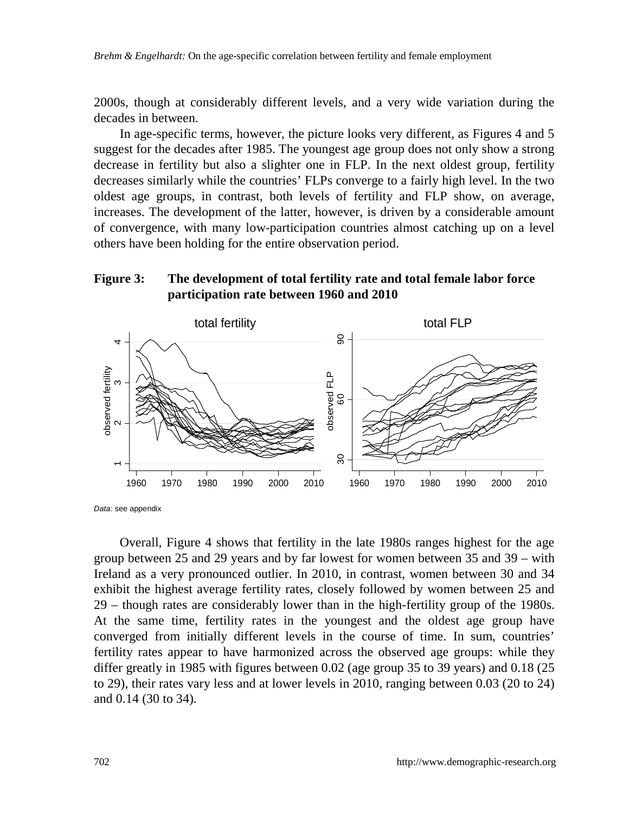2000s, though at considerably different levels, and a very wide variation during the decades in between.

In age-specific terms, however, the picture looks very different, as Figures 4 and 5 suggest for the decades after 1985. The youngest age group does not only show a strong decrease in fertility but also a slighter one in FLP. In the next oldest group, fertility decreases similarly while the countries' FLPs converge to a fairly high level. In the two oldest age groups, in contrast, both levels of fertility and FLP show, on average, increases. The development of the latter, however, is driven by a considerable amount of convergence, with many low-participation countries almost catching up on a level others have been holding for the entire observation period.

### <span id="page-13-0"></span>**Figure 3: The development of total fertility rate and total female labor force participation rate between 1960 and 2010**



*Data*: see appendix

Overall, [Figure](#page-14-0) 4 shows that fertility in the late 1980s ranges highest for the age group between 25 and 29 years and by far lowest for women between 35 and 39 – with Ireland as a very pronounced outlier. In 2010, in contrast, women between 30 and 34 exhibit the highest average fertility rates, closely followed by women between 25 and 29 – though rates are considerably lower than in the high-fertility group of the 1980s. At the same time, fertility rates in the youngest and the oldest age group have converged from initially different levels in the course of time. In sum, countries' fertility rates appear to have harmonized across the observed age groups: while they differ greatly in 1985 with figures between 0.02 (age group 35 to 39 years) and 0.18 (25 to 29), their rates vary less and at lower levels in 2010, ranging between 0.03 (20 to 24) and 0.14 (30 to 34).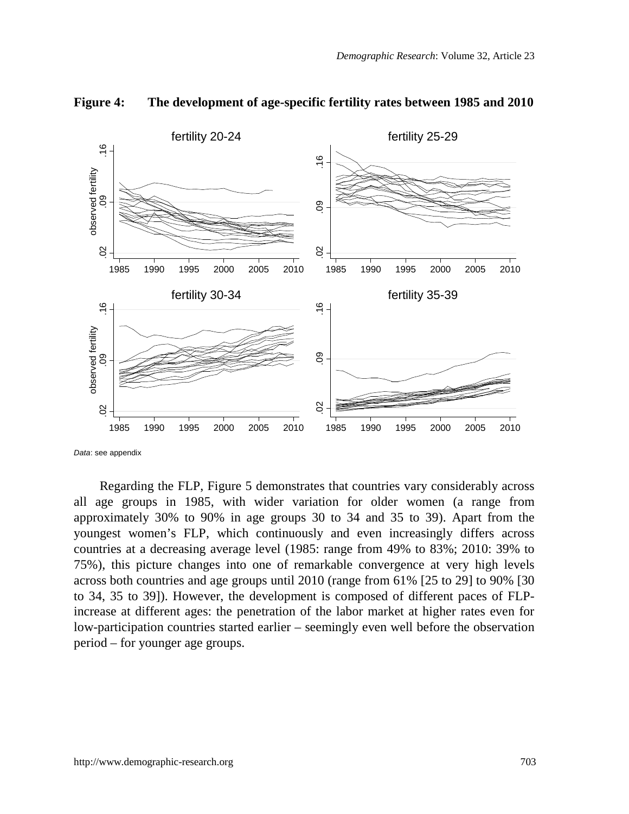

#### <span id="page-14-0"></span>**Figure 4: The development of age-specific fertility rates between 1985 and 2010**

*Data*: see appendix

Regarding the FLP, [Figure 5](#page-15-0) demonstrates that countries vary considerably across all age groups in 1985, with wider variation for older women (a range from approximately 30% to 90% in age groups 30 to 34 and 35 to 39). Apart from the youngest women's FLP, which continuously and even increasingly differs across countries at a decreasing average level (1985: range from 49% to 83%; 2010: 39% to 75%), this picture changes into one of remarkable convergence at very high levels across both countries and age groups until 2010 (range from 61% [25 to 29] to 90% [30 to 34, 35 to 39]). However, the development is composed of different paces of FLPincrease at different ages: the penetration of the labor market at higher rates even for low-participation countries started earlier – seemingly even well before the observation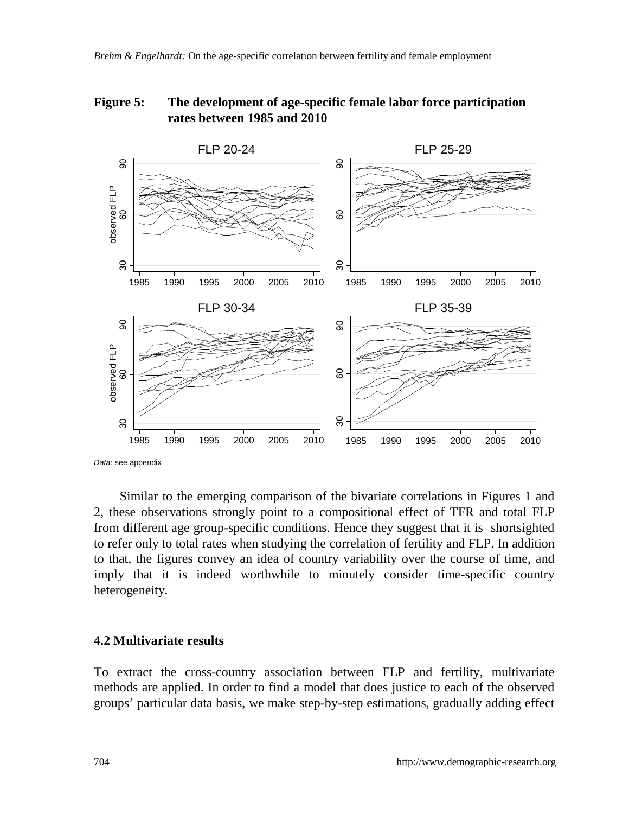## <span id="page-15-0"></span>**Figure 5: The development of age-specific female labor force participation rates between 1985 and 2010**



Similar to the emerging comparison of the bivariate correlations in Figures 1 and 2, these observations strongly point to a compositional effect of TFR and total FLP from different age group-specific conditions. Hence they suggest that it is shortsighted to refer only to total rates when studying the correlation of fertility and FLP. In addition to that, the figures convey an idea of country variability over the course of time, and imply that it is indeed worthwhile to minutely consider time-specific country heterogeneity.

### **4.2 Multivariate results**

To extract the cross-country association between FLP and fertility, multivariate methods are applied. In order to find a model that does justice to each of the observed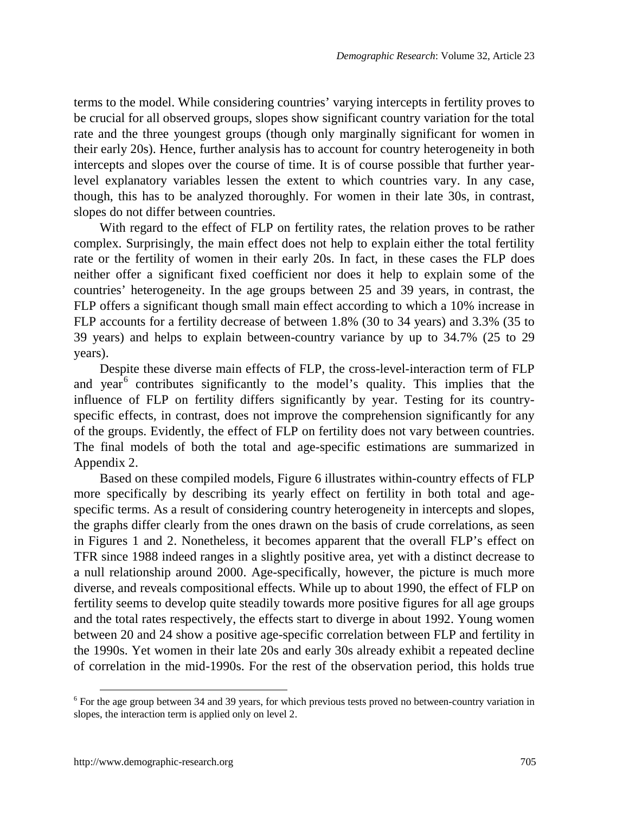terms to the model. While considering countries' varying intercepts in fertility proves to be crucial for all observed groups, slopes show significant country variation for the total rate and the three youngest groups (though only marginally significant for women in their early 20s). Hence, further analysis has to account for country heterogeneity in both intercepts and slopes over the course of time. It is of course possible that further yearlevel explanatory variables lessen the extent to which countries vary. In any case, though, this has to be analyzed thoroughly. For women in their late 30s, in contrast, slopes do not differ between countries.

With regard to the effect of FLP on fertility rates, the relation proves to be rather complex. Surprisingly, the main effect does not help to explain either the total fertility rate or the fertility of women in their early 20s. In fact, in these cases the FLP does neither offer a significant fixed coefficient nor does it help to explain some of the countries' heterogeneity. In the age groups between 25 and 39 years, in contrast, the FLP offers a significant though small main effect according to which a 10% increase in FLP accounts for a fertility decrease of between 1.8% (30 to 34 years) and 3.3% (35 to 39 years) and helps to explain between-country variance by up to 34.7% (25 to 29 years).

Despite these diverse main effects of FLP, the cross-level-interaction term of FLP and year<sup>[6](#page-16-0)</sup> contributes significantly to the model's quality. This implies that the influence of FLP on fertility differs significantly by year. Testing for its countryspecific effects, in contrast, does not improve the comprehension significantly for any of the groups. Evidently, the effect of FLP on fertility does not vary between countries. The final models of both the total and age-specific estimations are summarized in Appendix 2.

Based on these compiled models, [Figure 6](#page-17-0) illustrates within-country effects of FLP more specifically by describing its yearly effect on fertility in both total and agespecific terms. As a result of considering country heterogeneity in intercepts and slopes, the graphs differ clearly from the ones drawn on the basis of crude correlations, as seen in Figures 1 and 2. Nonetheless, it becomes apparent that the overall FLP's effect on TFR since 1988 indeed ranges in a slightly positive area, yet with a distinct decrease to a null relationship around 2000. Age-specifically, however, the picture is much more diverse, and reveals compositional effects. While up to about 1990, the effect of FLP on fertility seems to develop quite steadily towards more positive figures for all age groups and the total rates respectively, the effects start to diverge in about 1992. Young women between 20 and 24 show a positive age-specific correlation between FLP and fertility in the 1990s. Yet women in their late 20s and early 30s already exhibit a repeated decline of correlation in the mid-1990s. For the rest of the observation period, this holds true

<span id="page-16-0"></span> <sup>6</sup> For the age group between 34 and 39 years, for which previous tests proved no between-country variation in slopes, the interaction term is applied only on level 2.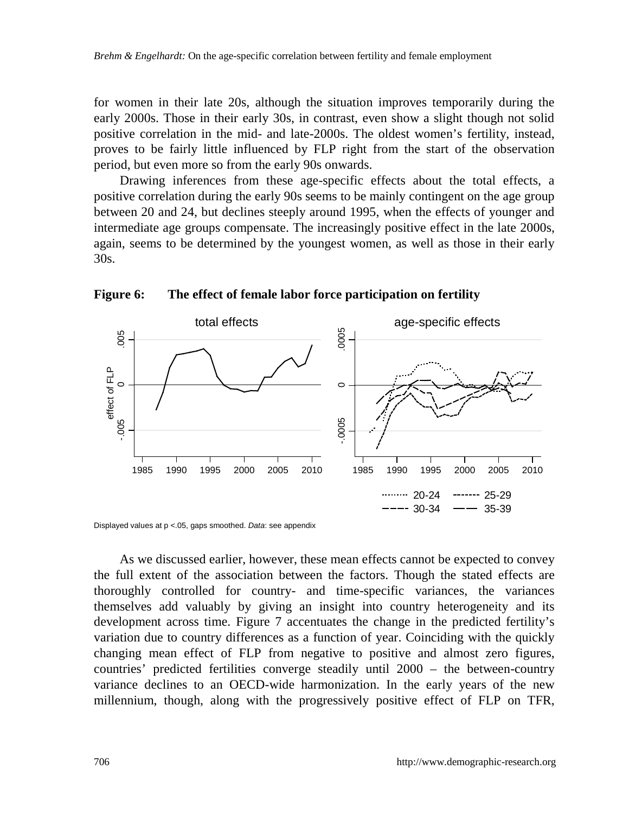for women in their late 20s, although the situation improves temporarily during the early 2000s. Those in their early 30s, in contrast, even show a slight though not solid positive correlation in the mid- and late-2000s. The oldest women's fertility, instead, proves to be fairly little influenced by FLP right from the start of the observation period, but even more so from the early 90s onwards.

Drawing inferences from these age-specific effects about the total effects, a positive correlation during the early 90s seems to be mainly contingent on the age group between 20 and 24, but declines steeply around 1995, when the effects of younger and intermediate age groups compensate. The increasingly positive effect in the late 2000s, again, seems to be determined by the youngest women, as well as those in their early 30s.



<span id="page-17-0"></span>**Figure 6: The effect of female labor force participation on fertility**

Displayed values at p <.05, gaps smoothed. *Data*: see appendix

As we discussed earlier, however, these mean effects cannot be expected to convey the full extent of the association between the factors. Though the stated effects are thoroughly controlled for country- and time-specific variances, the variances themselves add valuably by giving an insight into country heterogeneity and its development across time. [Figure 7](#page-18-0) accentuates the change in the predicted fertility's variation due to country differences as a function of year. Coinciding with the quickly changing mean effect of FLP from negative to positive and almost zero figures, countries' predicted fertilities converge steadily until 2000 – the between-country variance declines to an OECD-wide harmonization. In the early years of the new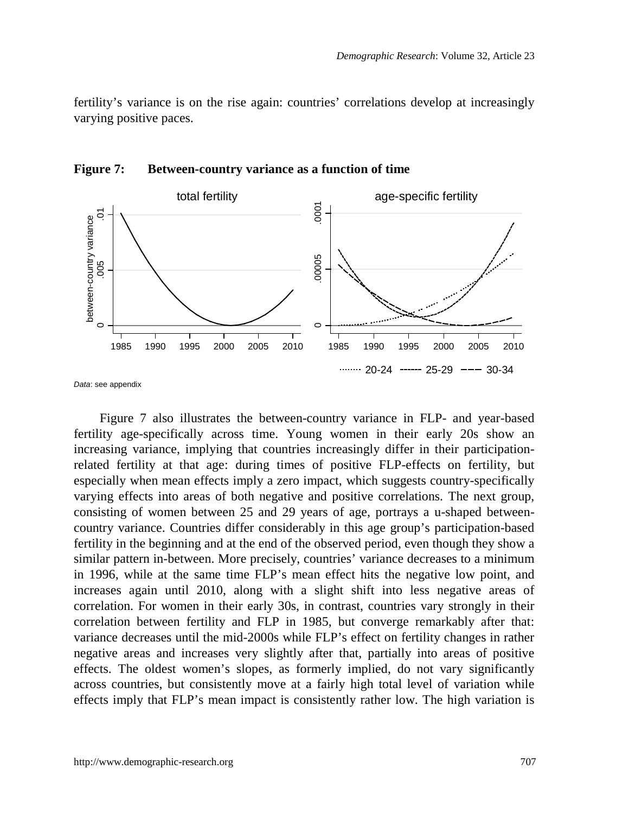fertility's variance is on the rise again: countries' correlations develop at increasingly varying positive paces.



<span id="page-18-0"></span>**Figure 7: Between-country variance as a function of time**

*Data*: see appendix

[Figure 7](#page-18-0) also illustrates the between-country variance in FLP- and year-based fertility age-specifically across time. Young women in their early 20s show an increasing variance, implying that countries increasingly differ in their participationrelated fertility at that age: during times of positive FLP-effects on fertility, but especially when mean effects imply a zero impact, which suggests country-specifically varying effects into areas of both negative and positive correlations. The next group, consisting of women between 25 and 29 years of age, portrays a u-shaped betweencountry variance. Countries differ considerably in this age group's participation-based fertility in the beginning and at the end of the observed period, even though they show a similar pattern in-between. More precisely, countries' variance decreases to a minimum in 1996, while at the same time FLP's mean effect hits the negative low point, and increases again until 2010, along with a slight shift into less negative areas of correlation. For women in their early 30s, in contrast, countries vary strongly in their correlation between fertility and FLP in 1985, but converge remarkably after that: variance decreases until the mid-2000s while FLP's effect on fertility changes in rather negative areas and increases very slightly after that, partially into areas of positive effects. The oldest women's slopes, as formerly implied, do not vary significantly across countries, but consistently move at a fairly high total level of variation while effects imply that FLP's mean impact is consistently rather low. The high variation is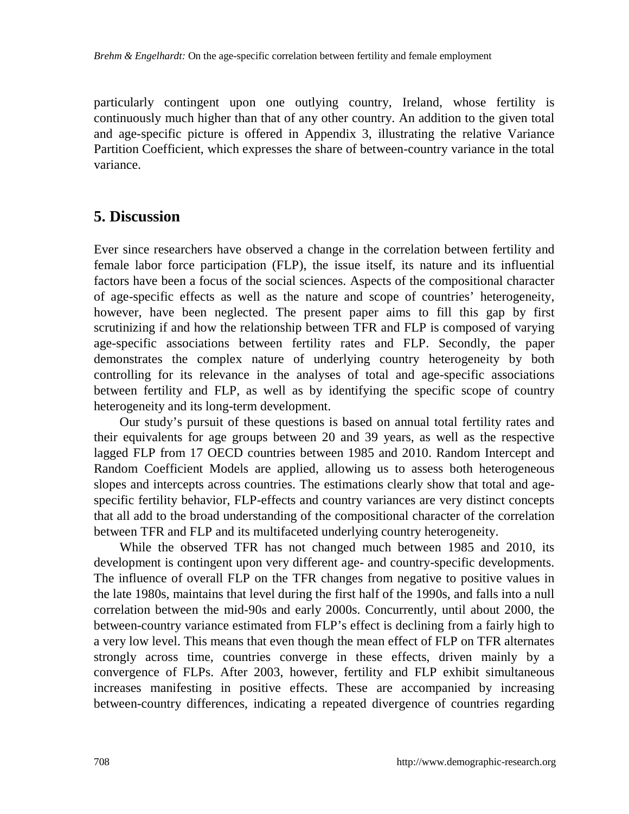particularly contingent upon one outlying country, Ireland, whose fertility is continuously much higher than that of any other country. An addition to the given total and age-specific picture is offered in Appendix 3, illustrating the relative Variance Partition Coefficient, which expresses the share of between-country variance in the total variance.

## **5. Discussion**

Ever since researchers have observed a change in the correlation between fertility and female labor force participation (FLP), the issue itself, its nature and its influential factors have been a focus of the social sciences. Aspects of the compositional character of age-specific effects as well as the nature and scope of countries' heterogeneity, however, have been neglected. The present paper aims to fill this gap by first scrutinizing if and how the relationship between TFR and FLP is composed of varying age-specific associations between fertility rates and FLP. Secondly, the paper demonstrates the complex nature of underlying country heterogeneity by both controlling for its relevance in the analyses of total and age-specific associations between fertility and FLP, as well as by identifying the specific scope of country heterogeneity and its long-term development.

Our study's pursuit of these questions is based on annual total fertility rates and their equivalents for age groups between 20 and 39 years, as well as the respective lagged FLP from 17 OECD countries between 1985 and 2010. Random Intercept and Random Coefficient Models are applied, allowing us to assess both heterogeneous slopes and intercepts across countries. The estimations clearly show that total and agespecific fertility behavior, FLP-effects and country variances are very distinct concepts that all add to the broad understanding of the compositional character of the correlation between TFR and FLP and its multifaceted underlying country heterogeneity.

While the observed TFR has not changed much between 1985 and 2010, its development is contingent upon very different age- and country-specific developments. The influence of overall FLP on the TFR changes from negative to positive values in the late 1980s, maintains that level during the first half of the 1990s, and falls into a null correlation between the mid-90s and early 2000s. Concurrently, until about 2000, the between-country variance estimated from FLP's effect is declining from a fairly high to a very low level. This means that even though the mean effect of FLP on TFR alternates strongly across time, countries converge in these effects, driven mainly by a convergence of FLPs. After 2003, however, fertility and FLP exhibit simultaneous increases manifesting in positive effects. These are accompanied by increasing between-country differences, indicating a repeated divergence of countries regarding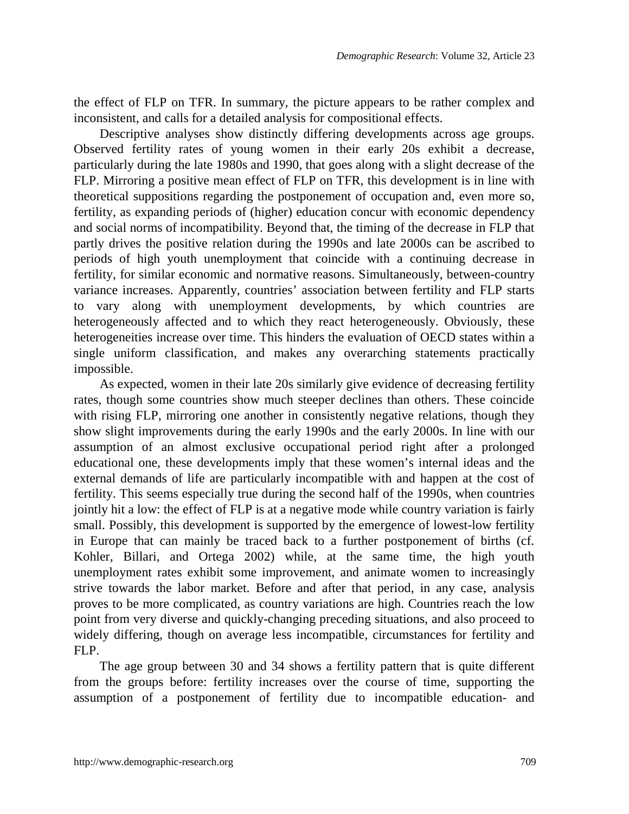the effect of FLP on TFR. In summary, the picture appears to be rather complex and inconsistent, and calls for a detailed analysis for compositional effects.

Descriptive analyses show distinctly differing developments across age groups. Observed fertility rates of young women in their early 20s exhibit a decrease, particularly during the late 1980s and 1990, that goes along with a slight decrease of the FLP. Mirroring a positive mean effect of FLP on TFR, this development is in line with theoretical suppositions regarding the postponement of occupation and, even more so, fertility, as expanding periods of (higher) education concur with economic dependency and social norms of incompatibility. Beyond that, the timing of the decrease in FLP that partly drives the positive relation during the 1990s and late 2000s can be ascribed to periods of high youth unemployment that coincide with a continuing decrease in fertility, for similar economic and normative reasons. Simultaneously, between-country variance increases. Apparently, countries' association between fertility and FLP starts to vary along with unemployment developments, by which countries are heterogeneously affected and to which they react heterogeneously. Obviously, these heterogeneities increase over time. This hinders the evaluation of OECD states within a single uniform classification, and makes any overarching statements practically impossible.

As expected, women in their late 20s similarly give evidence of decreasing fertility rates, though some countries show much steeper declines than others. These coincide with rising FLP, mirroring one another in consistently negative relations, though they show slight improvements during the early 1990s and the early 2000s. In line with our assumption of an almost exclusive occupational period right after a prolonged educational one, these developments imply that these women's internal ideas and the external demands of life are particularly incompatible with and happen at the cost of fertility. This seems especially true during the second half of the 1990s, when countries jointly hit a low: the effect of FLP is at a negative mode while country variation is fairly small. Possibly, this development is supported by the emergence of lowest-low fertility in Europe that can mainly be traced back to a further postponement of births (cf. Kohler, Billari, and Ortega 2002) while, at the same time, the high youth unemployment rates exhibit some improvement, and animate women to increasingly strive towards the labor market. Before and after that period, in any case, analysis proves to be more complicated, as country variations are high. Countries reach the low point from very diverse and quickly-changing preceding situations, and also proceed to widely differing, though on average less incompatible, circumstances for fertility and FLP.

The age group between 30 and 34 shows a fertility pattern that is quite different from the groups before: fertility increases over the course of time, supporting the assumption of a postponement of fertility due to incompatible education- and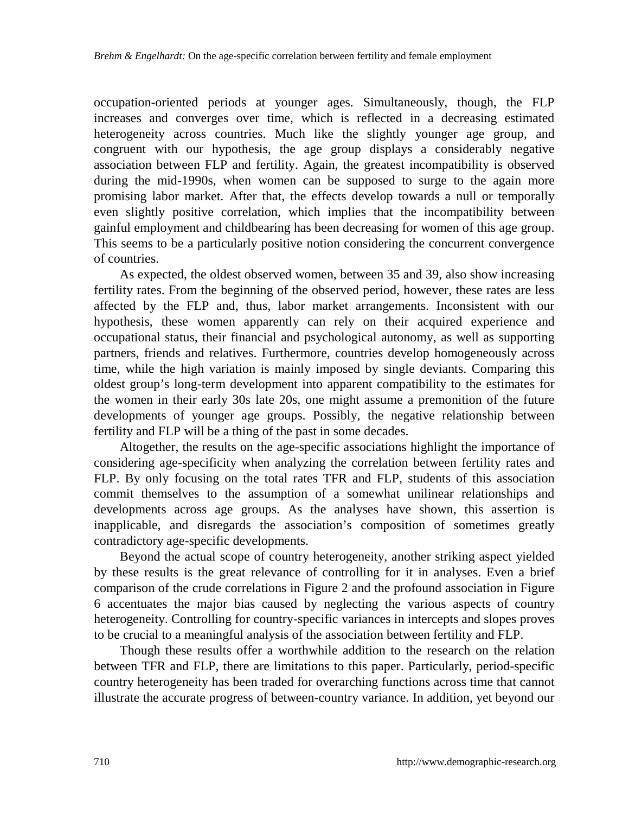occupation-oriented periods at younger ages. Simultaneously, though, the FLP increases and converges over time, which is reflected in a decreasing estimated heterogeneity across countries. Much like the slightly younger age group, and congruent with our hypothesis, the age group displays a considerably negative association between FLP and fertility. Again, the greatest incompatibility is observed during the mid-1990s, when women can be supposed to surge to the again more promising labor market. After that, the effects develop towards a null or temporally even slightly positive correlation, which implies that the incompatibility between gainful employment and childbearing has been decreasing for women of this age group. This seems to be a particularly positive notion considering the concurrent convergence of countries.

As expected, the oldest observed women, between 35 and 39, also show increasing fertility rates. From the beginning of the observed period, however, these rates are less affected by the FLP and, thus, labor market arrangements. Inconsistent with our hypothesis, these women apparently can rely on their acquired experience and occupational status, their financial and psychological autonomy, as well as supporting partners, friends and relatives. Furthermore, countries develop homogeneously across time, while the high variation is mainly imposed by single deviants. Comparing this oldest group's long-term development into apparent compatibility to the estimates for the women in their early 30s late 20s, one might assume a premonition of the future developments of younger age groups. Possibly, the negative relationship between fertility and FLP will be a thing of the past in some decades.

Altogether, the results on the age-specific associations highlight the importance of considering age-specificity when analyzing the correlation between fertility rates and FLP. By only focusing on the total rates TFR and FLP, students of this association commit themselves to the assumption of a somewhat unilinear relationships and developments across age groups. As the analyses have shown, this assertion is inapplicable, and disregards the association's composition of sometimes greatly contradictory age-specific developments.

Beyond the actual scope of country heterogeneity, another striking aspect yielded by these results is the great relevance of controlling for it in analyses. Even a brief comparison of the crude correlations in [Figure 2](#page-6-0) and the profound association in [Figure](#page-17-0)  [6](#page-17-0) accentuates the major bias caused by neglecting the various aspects of country heterogeneity. Controlling for country-specific variances in intercepts and slopes proves to be crucial to a meaningful analysis of the association between fertility and FLP.

Though these results offer a worthwhile addition to the research on the relation between TFR and FLP, there are limitations to this paper. Particularly, period-specific country heterogeneity has been traded for overarching functions across time that cannot illustrate the accurate progress of between-country variance. In addition, yet beyond our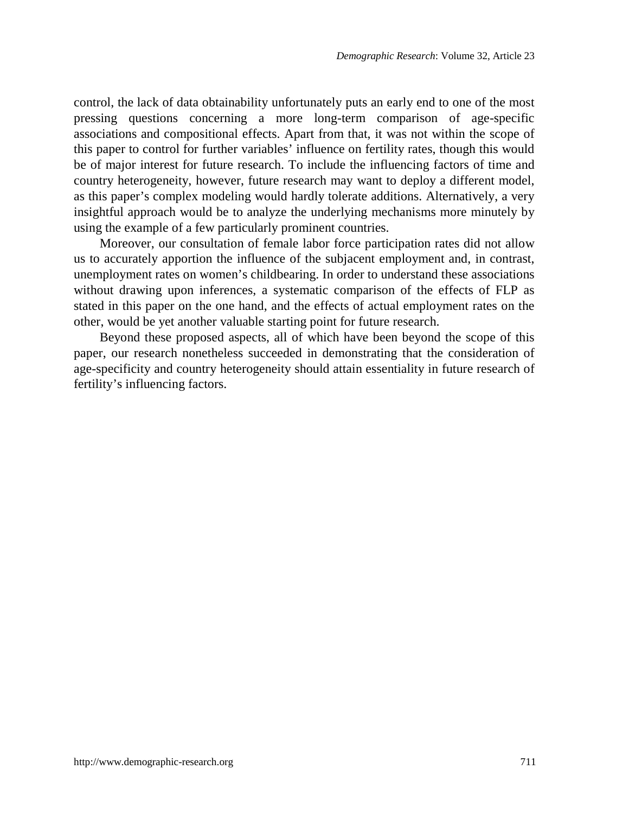control, the lack of data obtainability unfortunately puts an early end to one of the most pressing questions concerning a more long-term comparison of age-specific associations and compositional effects. Apart from that, it was not within the scope of this paper to control for further variables' influence on fertility rates, though this would be of major interest for future research. To include the influencing factors of time and country heterogeneity, however, future research may want to deploy a different model, as this paper's complex modeling would hardly tolerate additions. Alternatively, a very insightful approach would be to analyze the underlying mechanisms more minutely by using the example of a few particularly prominent countries.

Moreover, our consultation of female labor force participation rates did not allow us to accurately apportion the influence of the subjacent employment and, in contrast, unemployment rates on women's childbearing. In order to understand these associations without drawing upon inferences, a systematic comparison of the effects of FLP as stated in this paper on the one hand, and the effects of actual employment rates on the other, would be yet another valuable starting point for future research.

Beyond these proposed aspects, all of which have been beyond the scope of this paper, our research nonetheless succeeded in demonstrating that the consideration of age-specificity and country heterogeneity should attain essentiality in future research of fertility's influencing factors.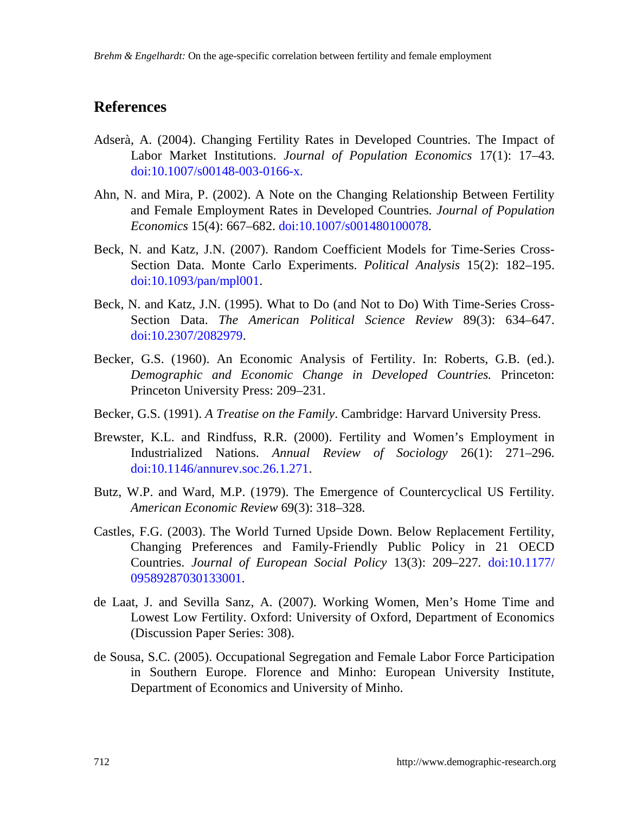## **References**

- Adserà, A. (2004). Changing Fertility Rates in Developed Countries. The Impact of Labor Market Institutions. *Journal of Population Economics* 17(1): 17–43. [doi:10.1007/s00148-003-0166-x.](http://dx.doi.org/10.1007/s00148-003-0166-x)
- Ahn, N. and Mira, P. (2002). A Note on the Changing Relationship Between Fertility and Female Employment Rates in Developed Countries. *Journal of Population Economics* 15(4): 667–682[. doi:10.1007/s001480100078.](http://dx.doi.org/10.1007/s001480100078)
- Beck, N. and Katz, J.N. (2007). Random Coefficient Models for Time-Series Cross-Section Data. Monte Carlo Experiments. *Political Analysis* 15(2): 182–195. [doi:10.1093/pan/mpl001.](http://dx.doi.org/10.1093/pan/mpl001)
- Beck, N. and Katz, J.N. (1995). What to Do (and Not to Do) With Time-Series Cross-Section Data. *The American Political Science Review* 89(3): 634–647. [doi:10.2307/2082979.](http://dx.doi.org/10.2307/2082979)
- Becker, G.S. (1960). An Economic Analysis of Fertility. In: Roberts, G.B. (ed.). *Demographic and Economic Change in Developed Countries.* Princeton: Princeton University Press: 209–231.
- Becker, G.S. (1991). *A Treatise on the Family*. Cambridge: Harvard University Press.
- Brewster, K.L. and Rindfuss, R.R. (2000). Fertility and Women's Employment in Industrialized Nations. *Annual Review of Sociology* 26(1): 271–296. [doi:10.1146/annurev.soc.26.1.271.](http://dx.doi.org/10.1146/annurev.soc.26.1.271)
- Butz, W.P. and Ward, M.P. (1979). The Emergence of Countercyclical US Fertility. *American Economic Review* 69(3): 318–328.
- Castles, F.G. (2003). The World Turned Upside Down. Below Replacement Fertility, Changing Preferences and Family-Friendly Public Policy in 21 OECD Countries. *Journal of European Social Policy* 13(3): 209–227*.* [doi:10.1177/](http://dx.doi.org/10.1177/09589287030133001) [09589287030133001.](http://dx.doi.org/10.1177/09589287030133001)
- de Laat, J. and Sevilla Sanz, A. (2007). Working Women, Men's Home Time and Lowest Low Fertility. Oxford: University of Oxford, Department of Economics (Discussion Paper Series: 308).
- de Sousa, S.C. (2005). Occupational Segregation and Female Labor Force Participation in Southern Europe. Florence and Minho: European University Institute, Department of Economics and University of Minho.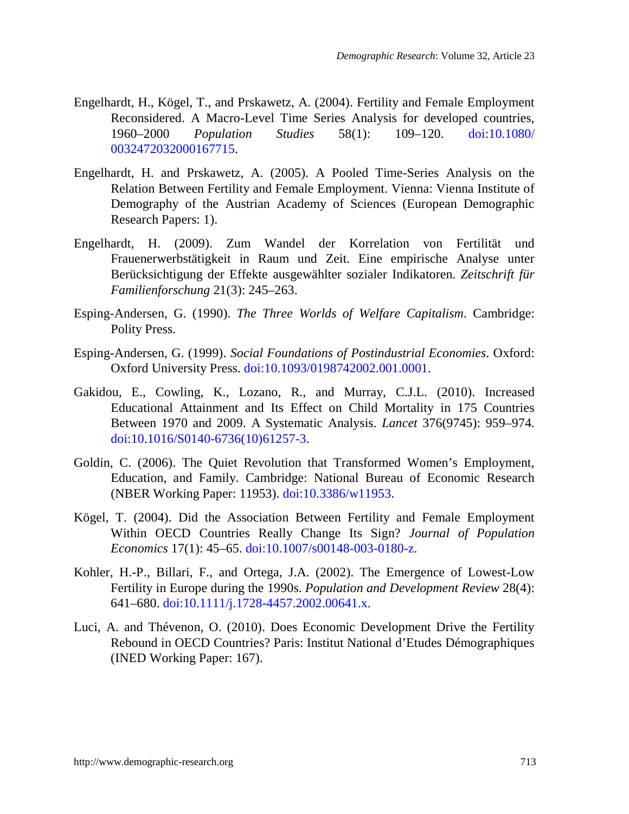- Engelhardt, H., Kögel, T., and Prskawetz, A. (2004). Fertility and Female Employment Reconsidered. A Macro-Level Time Series Analysis for developed countries, 1960–2000 *Population Studies* 58(1): 109–120. [doi:10.1080/](http://dx.doi.org/10.1080/0032472032000167715) [0032472032000167715.](http://dx.doi.org/10.1080/0032472032000167715)
- Engelhardt, H. and Prskawetz, A. (2005). A Pooled Time-Series Analysis on the Relation Between Fertility and Female Employment. Vienna: Vienna Institute of Demography of the Austrian Academy of Sciences (European Demographic Research Papers: 1).
- Engelhardt, H. (2009). Zum Wandel der Korrelation von Fertilität und Frauenerwerbstätigkeit in Raum und Zeit. Eine empirische Analyse unter Berücksichtigung der Effekte ausgewählter sozialer Indikatoren. *Zeitschrift für Familienforschung* 21(3): 245–263.
- Esping-Andersen, G. (1990). *The Three Worlds of Welfare Capitalism*. Cambridge: Polity Press.
- Esping-Andersen, G. (1999). *Social Foundations of Postindustrial Economies*. Oxford: Oxford University Press. [doi:10.1093/0198742002.001.0001.](http://dx.doi.org/10.1093/0198742002.001.0001)
- Gakidou, E., Cowling, K., Lozano, R., and Murray, C.J.L. (2010). Increased Educational Attainment and Its Effect on Child Mortality in 175 Countries Between 1970 and 2009. A Systematic Analysis. *Lancet* 376(9745): 959–974. [doi:10.1016/S0140-6736\(10\)61257-3.](http://dx.doi.org/10.1016/S0140-6736%2810%2961257-3)
- Goldin, C. (2006). The Quiet Revolution that Transformed Women's Employment, Education, and Family. Cambridge: National Bureau of Economic Research (NBER Working Paper: 11953). [doi:10.3386/w11953.](http://dx.doi.org/10.3386/w11953)
- Kögel, T. (2004). Did the Association Between Fertility and Female Employment Within OECD Countries Really Change Its Sign? *Journal of Population Economics* 17(1): 45–65. [doi:10.1007/s00148-003-0180-z.](http://dx.doi.org/10.1007/s00148-003-0180-z)
- Kohler, H.-P., Billari, F., and Ortega, J.A. (2002). The Emergence of Lowest-Low Fertility in Europe during the 1990s. *Population and Development Review* 28(4): 641–680. [doi:10.1111/j.1728-4457.2002.00641.x.](http://dx.doi.org/10.1111/j.1728-4457.2002.00641.x)
- Luci, A. and Thévenon, O. (2010). Does Economic Development Drive the Fertility Rebound in OECD Countries? Paris: Institut National d'Etudes Démographiques (INED Working Paper: 167).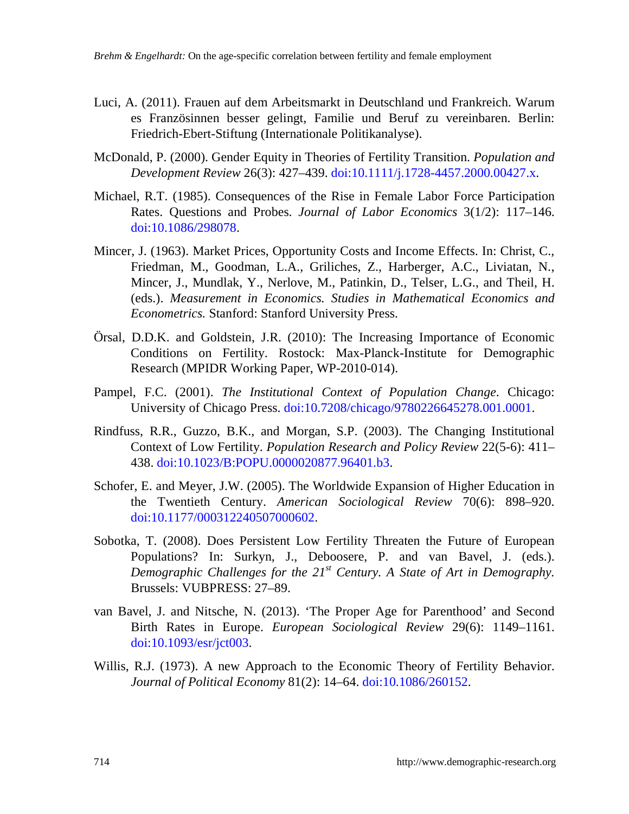- Luci, A. (2011). Frauen auf dem Arbeitsmarkt in Deutschland und Frankreich. Warum es Französinnen besser gelingt, Familie und Beruf zu vereinbaren. Berlin: Friedrich-Ebert-Stiftung (Internationale Politikanalyse).
- McDonald, P. (2000). Gender Equity in Theories of Fertility Transition. *Population and Development Review* 26(3): 427–439. [doi:10.1111/j.1728-4457.2000.00427.x.](http://dx.doi.org/10.1111/j.1728-4457.2000.00427.x)
- Michael, R.T. (1985). Consequences of the Rise in Female Labor Force Participation Rates. Questions and Probes. *Journal of Labor Economics* 3(1/2): 117–146. [doi:10.1086/298078.](http://dx.doi.org/10.1086/298078)
- Mincer, J. (1963). Market Prices, Opportunity Costs and Income Effects. In: Christ, C., Friedman, M., Goodman, L.A., Griliches, Z., Harberger, A.C., Liviatan, N., Mincer, J., Mundlak, Y., Nerlove, M., Patinkin, D., Telser, L.G., and Theil, H. (eds.). *Measurement in Economics. Studies in Mathematical Economics and Econometrics.* Stanford: Stanford University Press.
- Örsal, D.D.K. and Goldstein, J.R. (2010): The Increasing Importance of Economic Conditions on Fertility. Rostock: Max-Planck-Institute for Demographic Research (MPIDR Working Paper, WP-2010-014).
- Pampel, F.C. (2001). *The Institutional Context of Population Change*. Chicago: University of Chicago Press. [doi:10.7208/chicago/9780226645278.001.0001.](http://dx.doi.org/10.7208/chicago/9780226645278.001.0001)
- Rindfuss, R.R., Guzzo, B.K., and Morgan, S.P. (2003). The Changing Institutional Context of Low Fertility. *Population Research and Policy Review* 22(5-6): 411– 438. [doi:10.1023/B:POPU.0000020877.96401.b3.](http://dx.doi.org/10.1023/B:POPU.0000020877.96401.b3)
- Schofer, E. and Meyer, J.W. (2005). The Worldwide Expansion of Higher Education in the Twentieth Century. *American Sociological Review* 70(6): 898–920. [doi:10.1177/000312240507000602.](http://dx.doi.org/10.1177/000312240507000602)
- Sobotka, T. (2008). Does Persistent Low Fertility Threaten the Future of European Populations? In: Surkyn, J., Deboosere, P. and van Bavel, J. (eds.). *Demographic Challenges for the 21st Century. A State of Art in Demography.*  Brussels: VUBPRESS: 27–89.
- van Bavel, J. and Nitsche, N. (2013). 'The Proper Age for Parenthood' and Second Birth Rates in Europe. *European Sociological Review* 29(6): 1149–1161. [doi:10.1093/esr/jct003.](http://dx.doi.org/10.1093/esr/jct003)
- Willis, R.J. (1973). A new Approach to the Economic Theory of Fertility Behavior. *Journal of Political Economy* 81(2): 14–64. [doi:10.1086/260152.](http://dx.doi.org/10.1086/260152)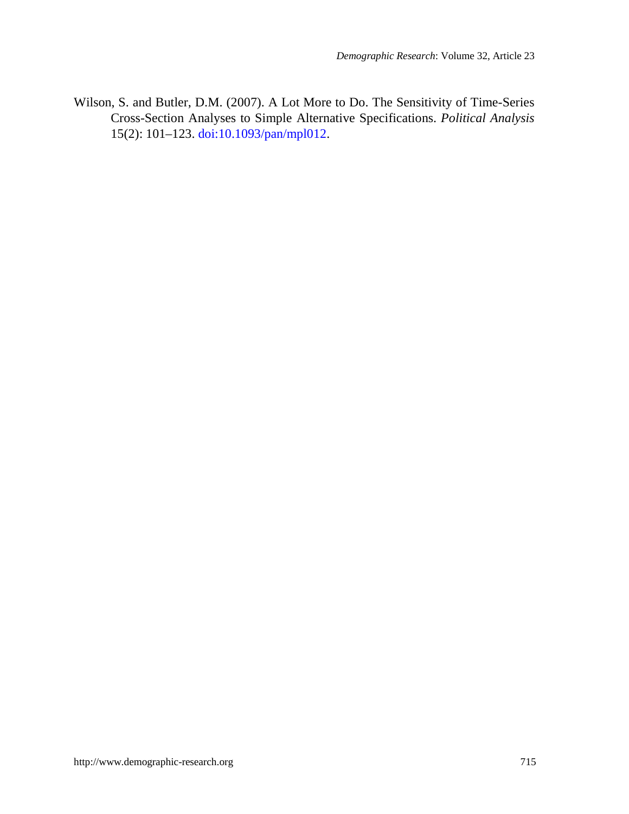Wilson, S. and Butler, D.M. (2007). A Lot More to Do. The Sensitivity of Time-Series Cross-Section Analyses to Simple Alternative Specifications. *Political Analysis* 15(2): 101–123. [doi:10.1093/pan/mpl012.](http://dx.doi.org/10.1093/pan/mpl012)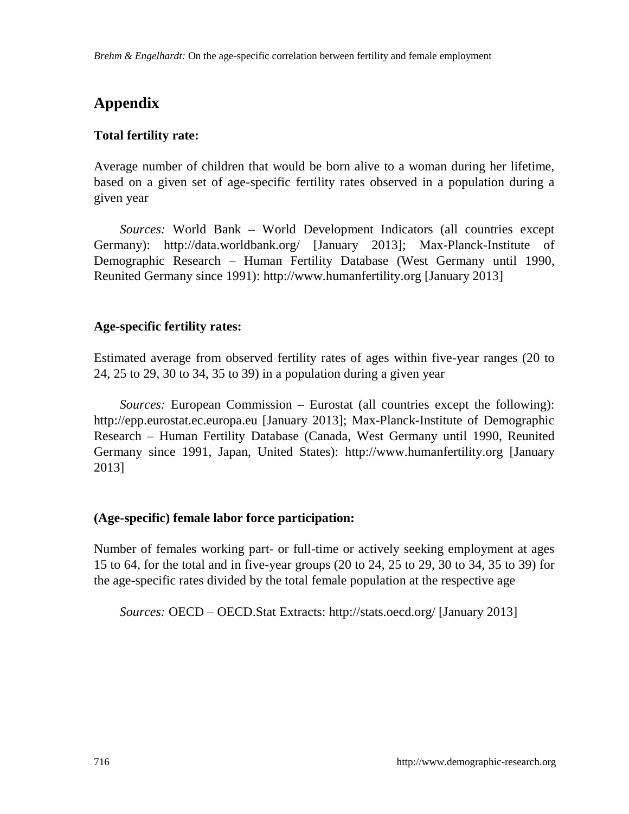# **Appendix**

## **Total fertility rate:**

Average number of children that would be born alive to a woman during her lifetime, based on a given set of age-specific fertility rates observed in a population during a given year

*Sources:* World Bank – World Development Indicators (all countries except Germany): http://data.worldbank.org/ [January 2013]; Max-Planck-Institute of Demographic Research – Human Fertility Database (West Germany until 1990, Reunited Germany since 1991): http://www.humanfertility.org [January 2013]

## **Age-specific fertility rates:**

Estimated average from observed fertility rates of ages within five-year ranges (20 to 24, 25 to 29, 30 to 34, 35 to 39) in a population during a given year

*Sources:* European Commission – Eurostat (all countries except the following): http://epp.eurostat.ec.europa.eu [January 2013]; Max-Planck-Institute of Demographic Research – Human Fertility Database (Canada, West Germany until 1990, Reunited Germany since 1991, Japan, United States): http://www.humanfertility.org [January 2013]

## **(Age-specific) female labor force participation:**

Number of females working part- or full-time or actively seeking employment at ages 15 to 64, for the total and in five-year groups (20 to 24, 25 to 29, 30 to 34, 35 to 39) for the age-specific rates divided by the total female population at the respective age

*Sources:* OECD – OECD.Stat Extracts: http://stats.oecd.org/ [January 2013]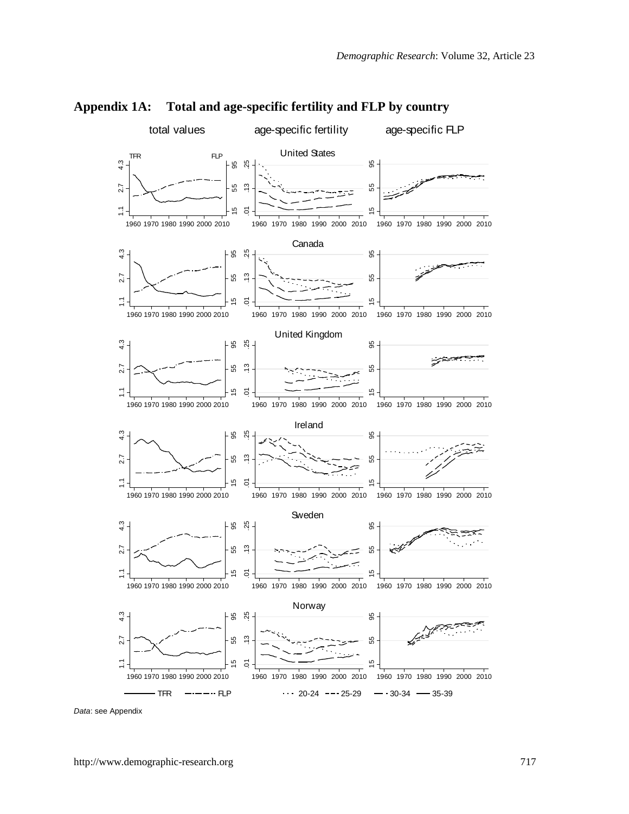

**Appendix 1A: Total and age-specific fertility and FLP by country**

*Data*: see Appendix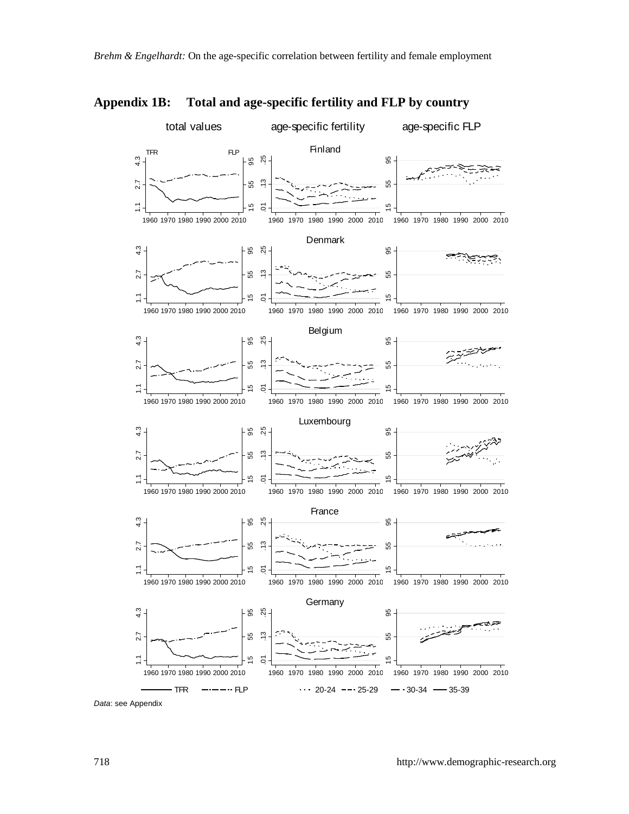

**Appendix 1B: Total and age-specific fertility and FLP by country**

*Data*: see Appendix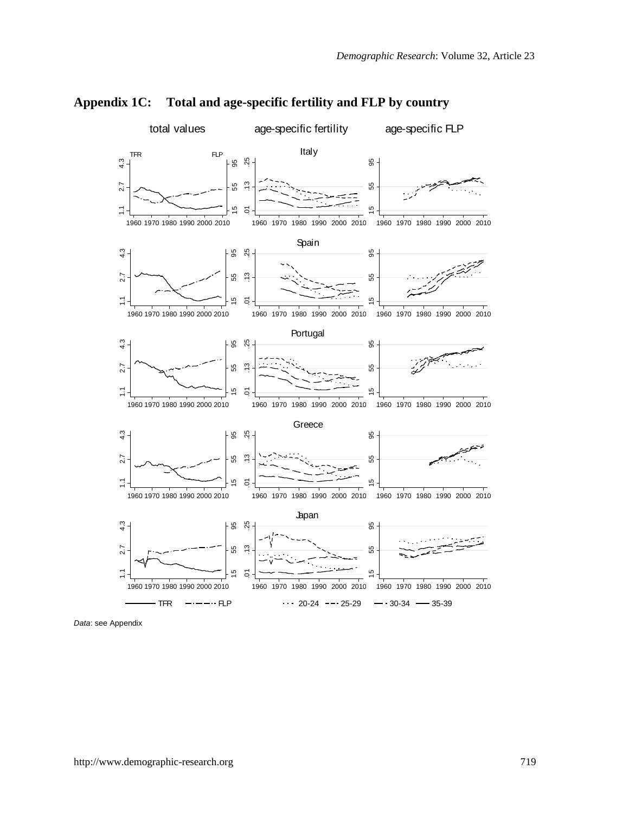

**Appendix 1C: Total and age-specific fertility and FLP by country** 

*Data*: see Appendix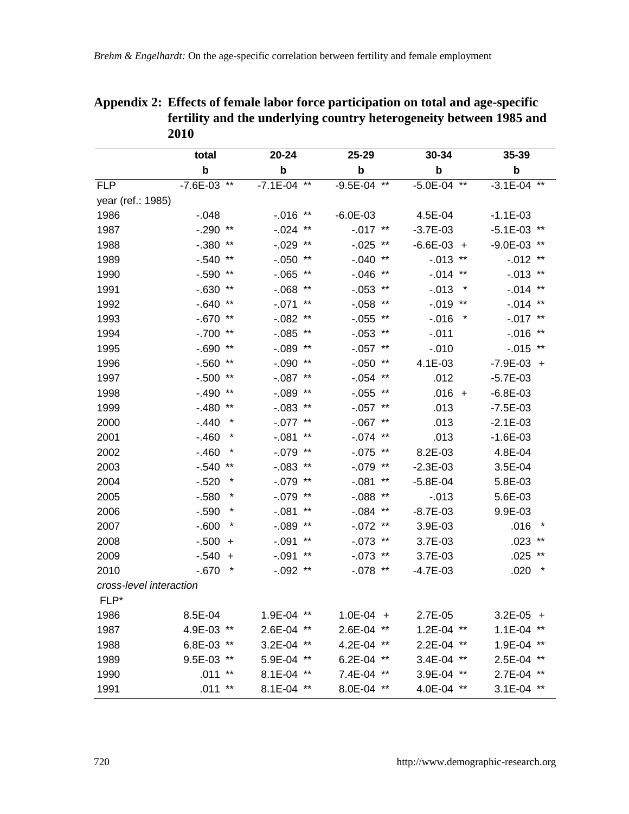|                         | total           |        | 20-24          |       | 25-29        |       | 30-34           | 35-39                |
|-------------------------|-----------------|--------|----------------|-------|--------------|-------|-----------------|----------------------|
|                         | b               |        | b              |       | b            |       | $\mathbf b$     | $\mathbf b$          |
| FI <sub>P</sub>         | $-7.6E - 03$ ** |        | $-7.1E - 04$   | $***$ | $-9.5E - 04$ | $***$ | $-5.0E - 04$ ** | $-3.1E - 04$ **      |
| year (ref.: 1985)       |                 |        |                |       |              |       |                 |                      |
| 1986                    | $-0.048$        |        | $-0.016$ **    |       | $-6.0E - 03$ |       | 4.5E-04         | $-1.1E - 03$         |
| 1987                    | $-.290$ **      |        | $-.024$ **     |       | $-.017$ **   |       | $-3.7E - 03$    | $-5.1E - 03$ **      |
| 1988                    | $-.380$ **      |        | $-.029$ **     |       | $-0.025$ **  |       | $-6.6E - 03 +$  | $-9.0E - 03$ **      |
| 1989                    | $-.540$ **      |        | $-.050$ **     |       | $-.040$ **   |       | $-.013$ **      | $-0.012$ **          |
| 1990                    | $-.590$ **      |        | $-0.065$ **    |       | $-0.046$     | $***$ | $-.014$ **      | $-0.013$ **          |
| 1991                    | $-0.630$ **     |        | $-0.068$ **    |       | $-0.053$     | $***$ | $-0.013$        | $-0.014$ **          |
| 1992                    | $-640$ **       |        | $-.071$ **     |       | $-0.058$     | $***$ | $-0.019$ **     | $-0.014$ **          |
| 1993                    | $-670$ **       |        | $-0.082$ **    |       | $-0.055$     | $***$ | $-0.016$        | $-0.017$ **          |
| 1994                    | $-.700$ **      |        | $-0.085$ **    |       | $-0.053$     | $***$ | $-.011$         | $-0.016$ **          |
| 1995                    | $-0.690$ **     |        | $-.089$ **     |       | $-.057$ **   |       | $-0.010$        | $-0.015$ **          |
| 1996                    | $-560$ **       |        | $-.090$ **     |       | $-0.050$     | $***$ | $4.1E - 0.3$    | $-7.9E - 03 +$       |
| 1997                    | $-.500$ **      |        | $-.087$ **     |       | $-0.054$     | $***$ | .012            | $-5.7E - 0.3$        |
| 1998                    | $-.490$ **      |        | $-.089$ **     |       | $-0.055$ **  |       | $.016 +$        | $-6.8E - 03$         |
| 1999                    | $-.480**$       |        | $-0.083$ **    |       | $-.057$ **   |       | .013            | $-7.5E - 03$         |
| 2000                    | $-.440$         | $\ast$ | $-.077$ **     |       | $-.067$ **   |       | .013            | $-2.1E - 0.3$        |
| 2001                    | $-.460$         | *      | $-081$         | $***$ | $-.074$      | $***$ | .013            | $-1.6E - 03$         |
| 2002                    | $-.460$         |        | $-.079$ **     |       | $-0.075$ **  |       | $8.2E - 03$     | 4.8E-04              |
| 2003                    | $-540$ **       |        | $-0.083$ **    |       | $-.079$ **   |       | $-2.3E - 0.3$   | $3.5E - 04$          |
| 2004                    | $-520$          | *      | $-079$ **      |       | $-.081$      | $***$ | $-5.8E - 04$    | 5.8E-03              |
| 2005                    | $-580$          |        | $-.079$ **     |       | $-0.088$     | $***$ | $-0.013$        | 5.6E-03              |
| 2006                    | $-.590$         |        | $-.081$        | $***$ | $-0.084$     | $***$ | $-8.7E - 03$    | 9.9E-03              |
| 2007                    | $-600$          |        | $-0.089$ **    |       | $-072$       | $***$ | $3.9E - 03$     | .016                 |
| 2008                    | $-.500 +$       |        | $-.091$        | $***$ | $-.073$      | $***$ | $3.7E - 03$     | $.023$ **            |
| 2009                    | $-.540$         | $+$    | -.091          | $***$ | -.073        | $***$ | 3.7E-03         | $.025$ **            |
| 2010                    | $-670$          |        | $-.092$ **     |       | $-.078$ **   |       | $-4.7E - 03$    | .020                 |
| cross-level interaction |                 |        |                |       |              |       |                 |                      |
| $FLP*$                  |                 |        |                |       |              |       |                 |                      |
| 1986                    | 8.5E-04         |        | $1.9E - 04$ ** |       | 1.0E-04 +    |       | $2.7E - 0.5$    | $3.2E - 05 +$        |
| 1987                    | 4.9E-03 **      |        | 2.6E-04        |       | 2.6E-04      | $***$ | $1.2E - 04$ **  | $1.1E - 04$<br>$***$ |
| 1988                    | $6.8E - 03$ **  |        | $3.2E - 04$    | $***$ | $4.2E - 04$  | $***$ | $2.2E - 04$ **  | $1.9E - 04$ **       |
| 1989                    | 9.5E-03 **      |        | 5.9E-04        | $***$ | $6.2E - 04$  | $***$ | 3.4E-04 **      | 2.5E-04              |
| 1990                    | $.011$ **       |        | 8.1E-04        | $***$ | 7.4E-04      | $***$ | 3.9E-04 **      | 2.7E-04 **           |
| 1991                    | $.011$ **       |        | 8.1E-04 **     |       | 8.0E-04 **   |       | 4.0E-04 **      | $3.1E-04$ **         |

## **Appendix 2: Effects of female labor force participation on total and age-specific fertility and the underlying country heterogeneity between 1985 and**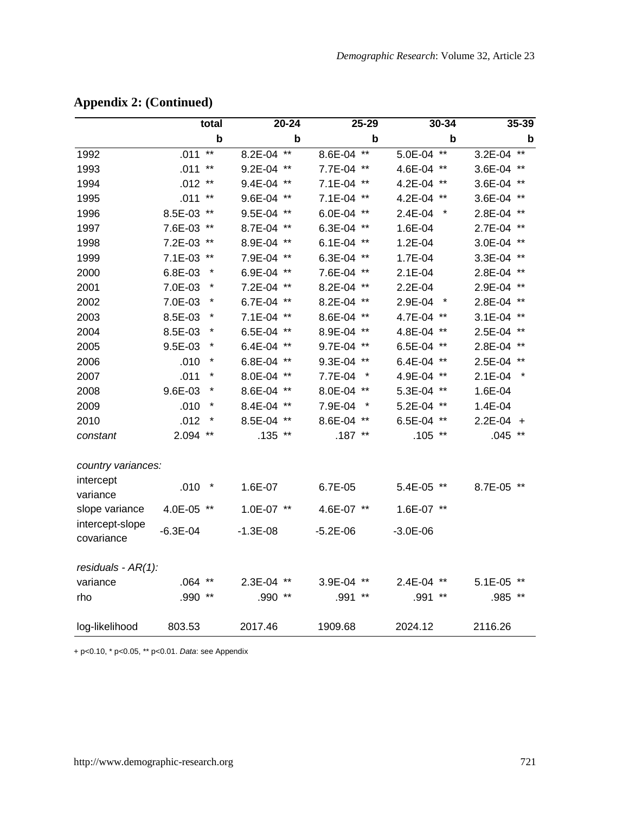|                               |              | total     |                | $20 - 24$ |              | 25-29           |                | 30-34  |             | 35-39           |
|-------------------------------|--------------|-----------|----------------|-----------|--------------|-----------------|----------------|--------|-------------|-----------------|
|                               |              | b         |                | þ         |              | b               |                | þ      |             | $\mathbf b$     |
| 1992                          | .011         | $**$      | 8.2E-04        | $*$       | 8.6E-04      | $**$            | 5.0E-04        | $**$   | 3.2E-04     | $**$            |
| 1993                          | .011         | $***$     | $9.2E - 04$ ** |           | 7.7E-04      | $***$           | 4.6E-04 $**$   |        | 3.6E-04     | $***$           |
| 1994                          | $.012$ **    |           | 9.4E-04 **     |           | $7.1E-04$    | $***$           | 4.2E-04 $**$   |        | 3.6E-04     | $***$           |
| 1995                          | $.011***$    |           | 9.6E-04 **     |           | 7.1E-04 **   |                 | 4.2E-04 **     |        | 3.6E-04     | $***$           |
| 1996                          | 8.5E-03 **   |           | 9.5E-04 **     |           | 6.0E-04      | $***$           | $2.4E-04$      |        | 2.8E-04     | $***$           |
| 1997                          | 7.6E-03 **   |           | 8.7E-04 **     |           | 6.3E-04      | $***$           | 1.6E-04        |        | 2.7E-04     | $***$           |
| 1998                          | 7.2E-03 **   |           | 8.9E-04 **     |           | $6.1E - 04$  | $***$           | $1.2E - 04$    |        | 3.0E-04     | $***$           |
| 1999                          | 7.1E-03 **   |           | 7.9E-04 **     |           | 6.3E-04      | $***$           | 1.7E-04        |        | 3.3E-04     | $***$           |
| 2000                          | 6.8E-03      |           | 6.9E-04 $**$   |           | 7.6E-04      | $***$           | $2.1E - 04$    |        | 2.8E-04     | $***$           |
| 2001                          | 7.0E-03      | *         | 7.2E-04 **     |           | 8.2E-04      | $***$           | $2.2E - 04$    |        | 2.9E-04     | $***$           |
| 2002                          | 7.0E-03      | $\ast$    | $6.7E - 04$ ** |           | 8.2E-04      | $***$           | 2.9E-04        | $\ast$ | 2.8E-04     | $^{\star\star}$ |
| 2003                          | 8.5E-03      |           | 7.1E-04 **     |           | 8.6E-04      | $***$           | 4.7E-04 **     |        | $3.1E - 04$ | $***$           |
| 2004                          | 8.5E-03      |           | $6.5E-04$ **   |           | 8.9E-04      | $***$           | 4.8E-04 **     |        | 2.5E-04     | $***$           |
| 2005                          | $9.5E-03$    | $\ast$    | 6.4E-04 **     |           | 9.7E-04      | $***$           | 6.5E-04 **     |        | 2.8E-04     |                 |
| 2006                          | .010         | $^{\ast}$ | $6.8E-04$ **   |           | 9.3E-04      | $***$           | 6.4E-04 **     |        | 2.5E-04     | $***$           |
| 2007                          | .011         | $^{\ast}$ | 8.0E-04 **     |           | 7.7E-04      |                 | 4.9E-04 **     |        | $2.1E - 04$ |                 |
| 2008                          | 9.6E-03      | $\ast$    | 8.6E-04 **     |           | 8.0E-04      | $***$           | 5.3E-04 **     |        | 1.6E-04     |                 |
| 2009                          | .010         | $\ast$    | 8.4E-04 **     |           | 7.9E-04      |                 | 5.2E-04 **     |        | 1.4E-04     |                 |
| 2010                          | .012         | $\ast$    | 8.5E-04 **     |           | 8.6E-04      | $^{\star\star}$ | 6.5E-04 **     |        | 2.2E-04     | $+$             |
| constant                      | 2.094        | $***$     | $.135$ **      |           | $.187$ **    |                 | $.105$ **      |        | .045        | $^{\star\star}$ |
| country variances:            |              |           |                |           |              |                 |                |        |             |                 |
| intercept                     |              |           |                |           |              |                 |                |        |             |                 |
| variance                      | .010         | $\star$   | 1.6E-07        |           | 6.7E-05      |                 | 5.4E-05 **     |        | 8.7E-05 **  |                 |
| slope variance                | 4.0E-05 **   |           | $1.0E - 07$ ** |           | 4.6E-07 **   |                 | $1.6E-07$ **   |        |             |                 |
| intercept-slope<br>covariance | $-6.3E - 04$ |           | $-1.3E - 08$   |           | $-5.2E - 06$ |                 | $-3.0E - 06$   |        |             |                 |
| residuals $-AR(1)$ :          |              |           |                |           |              |                 |                |        |             |                 |
| variance                      | $.064$ **    |           | $2.3E - 04$ ** |           | 3.9E-04      | $***$           | $2.4E - 04$ ** |        | $5.1E-05$   | $***$           |
| rho                           | .990 **      |           | .990 **        |           | .991         | $***$           | .991 **        |        | .985 **     |                 |
| log-likelihood                | 803.53       |           | 2017.46        |           | 1909.68      |                 | 2024.12        |        | 2116.26     |                 |

## **Appendix 2: (Continued)**

+ p<0.10, \* p<0.05, \*\* p<0.01. *Data*: see Appendix